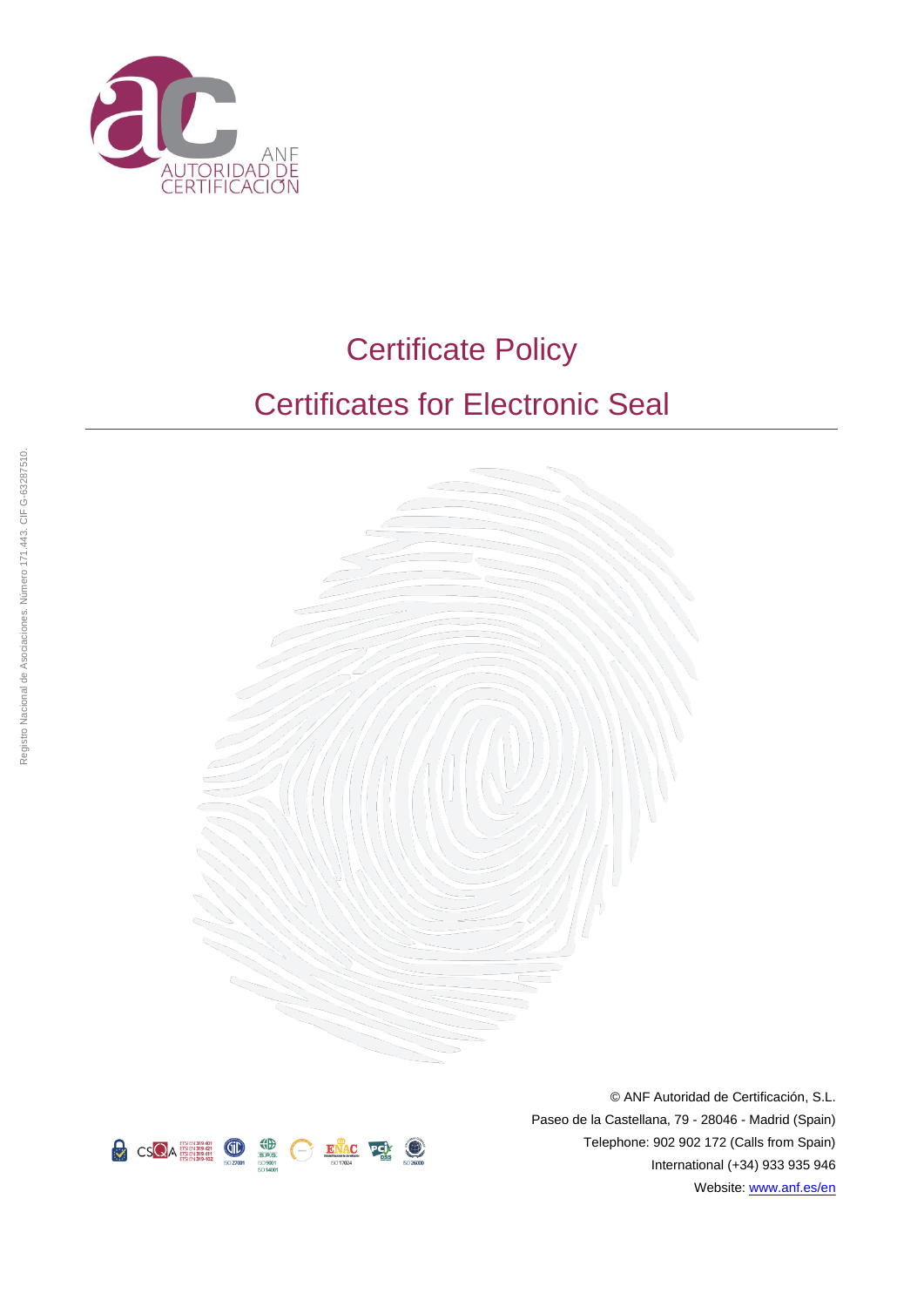

# Certificate Policy







© ANF Autoridad de Certificación, S.L. Paseo de la Castellana, 79 - 28046 - Madrid (Spain) Telephone: 902 902 172 (Calls from Spain) International (+34) 933 935 946 Website: [www.anf.es/en](http://www.anf.es/en)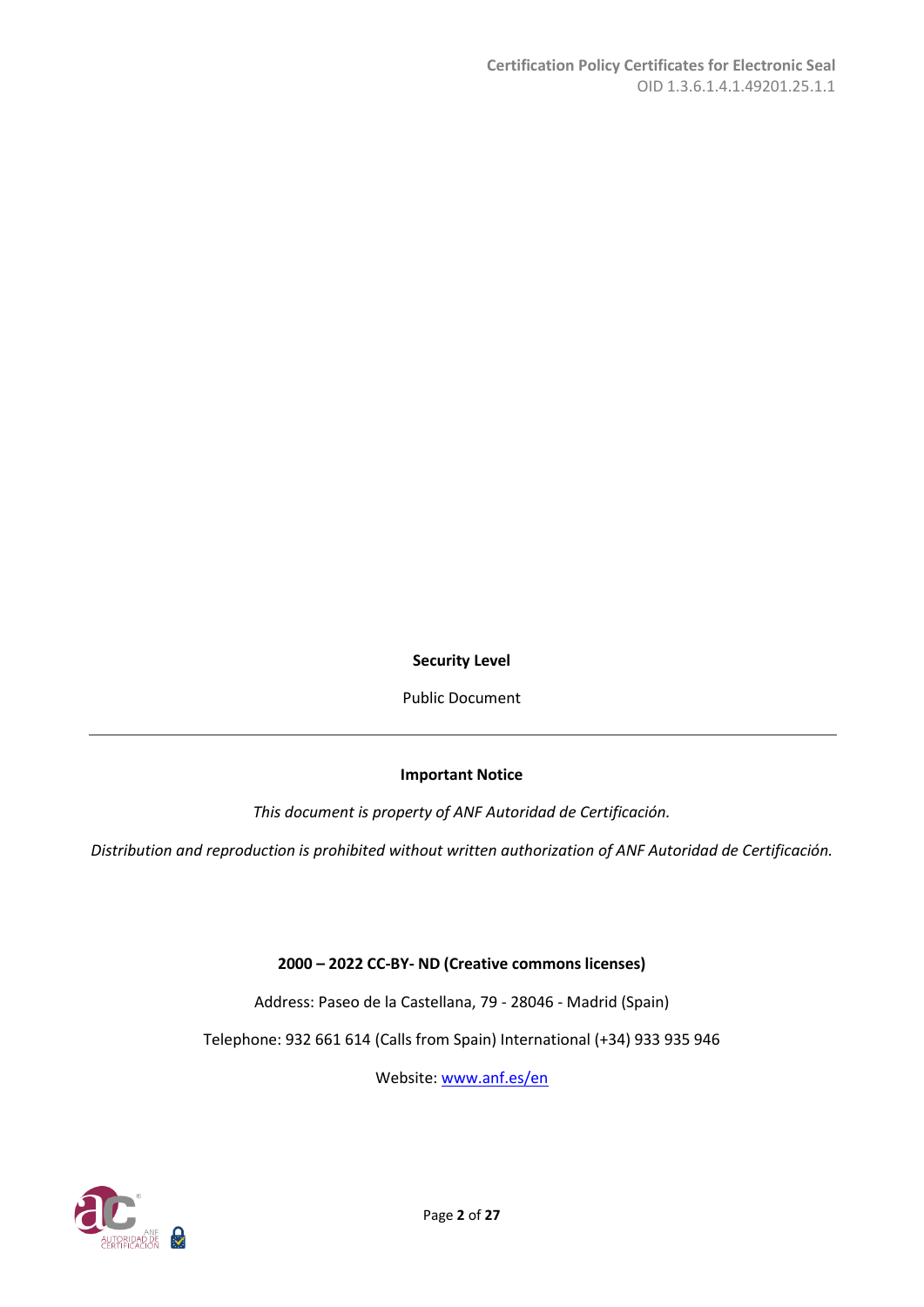**Security Level**

Public Document

# **Important Notice**

*This document is property of ANF Autoridad de Certificación.*

*Distribution and reproduction is prohibited without written authorization of ANF Autoridad de Certificación.*

# **2000 – 2022 CC-BY- ND (Creative commons licenses)**

Address: Paseo de la Castellana, 79 - 28046 - Madrid (Spain)

Telephone: 932 661 614 (Calls from Spain) International (+34) 933 935 946

Website[: www.anf.es/en](http://www.anf.es/en)

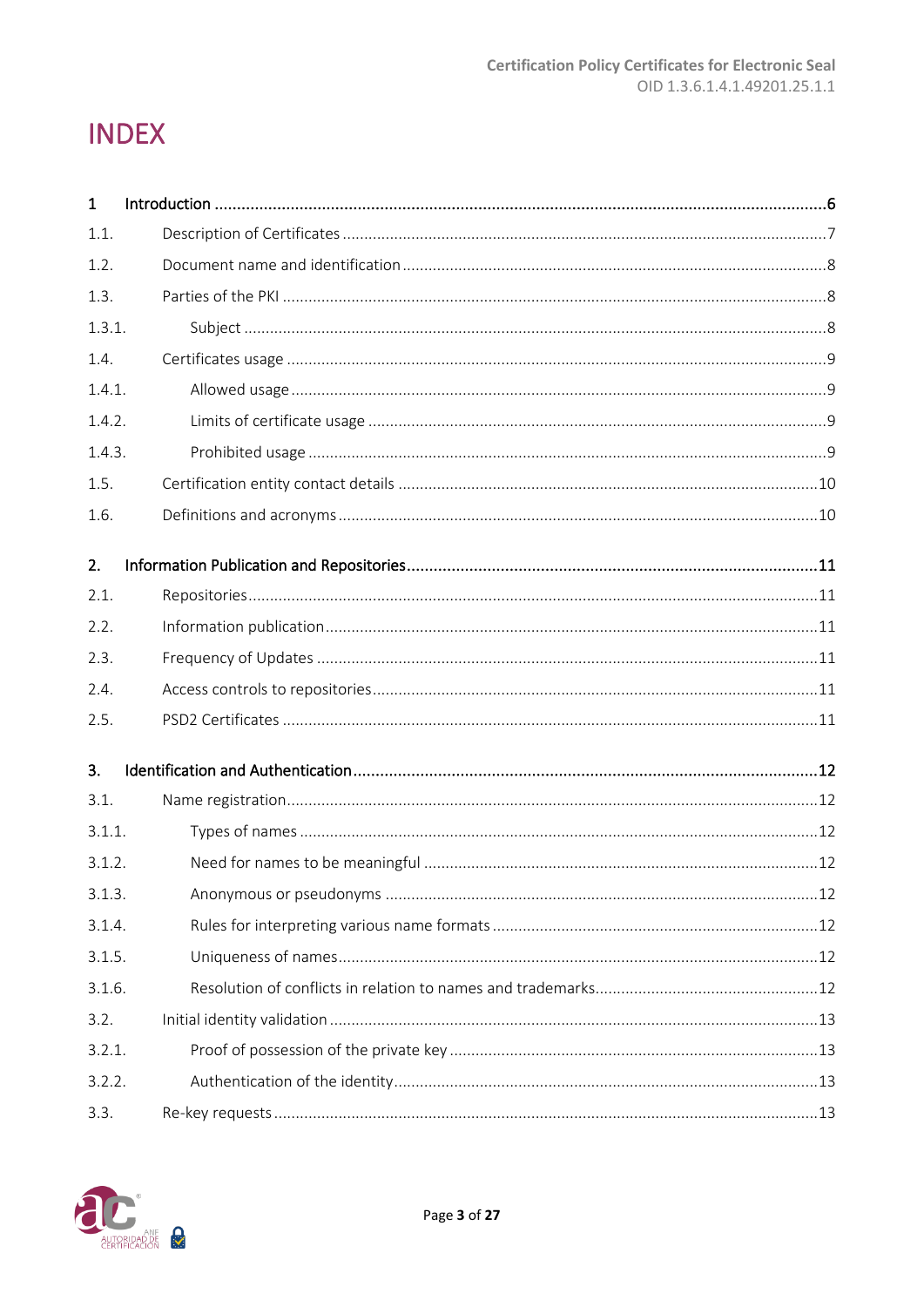# **INDEX**

| $\mathbf{1}$ |  |
|--------------|--|
| 1.1.         |  |
| 1.2.         |  |
| 1.3.         |  |
| 1.3.1.       |  |
| 1.4.         |  |
| 1.4.1.       |  |
| 1.4.2.       |  |
| 1.4.3.       |  |
| 1.5.         |  |
| 1.6.         |  |
| 2.           |  |
| 2.1.         |  |
| 2.2.         |  |
| 2.3.         |  |
| 2.4.         |  |
| 2.5.         |  |
| 3.           |  |
| 3.1.         |  |
| 3.1.1.       |  |
| 3.1.2.       |  |
| 3.1.3.       |  |
| 3.1.4.       |  |
| 3.1.5.       |  |
| 3.1.6.       |  |
| 3.2.         |  |
| 3.2.1.       |  |
| 3.2.2.       |  |
| 3.3.         |  |

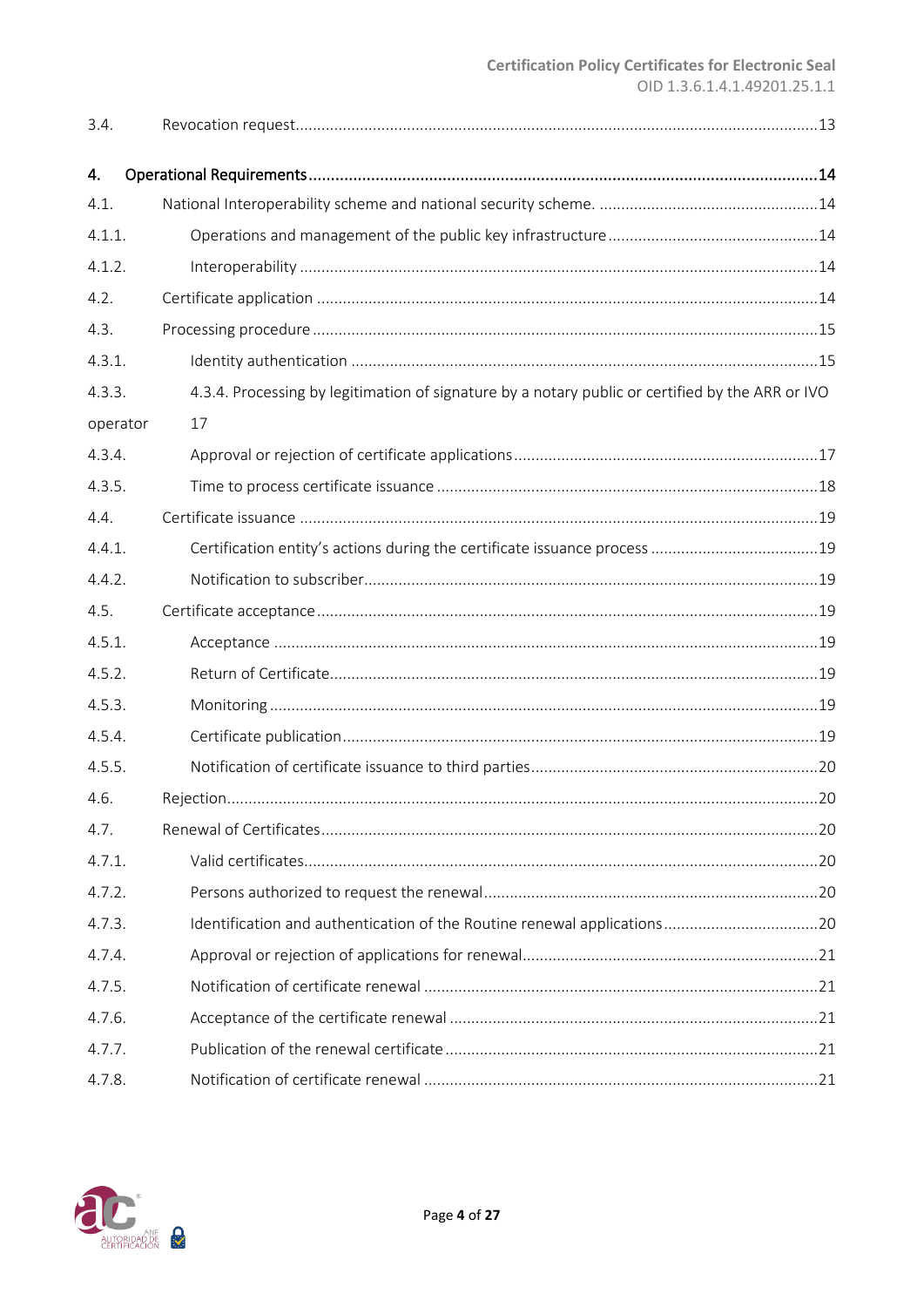| 3.4.     |                                                                                                  |
|----------|--------------------------------------------------------------------------------------------------|
| 4.       |                                                                                                  |
| 4.1.     |                                                                                                  |
| 4.1.1.   |                                                                                                  |
| 4.1.2.   |                                                                                                  |
| 4.2.     |                                                                                                  |
| 4.3.     |                                                                                                  |
| 4.3.1.   |                                                                                                  |
| 4.3.3.   | 4.3.4. Processing by legitimation of signature by a notary public or certified by the ARR or IVO |
| operator | 17                                                                                               |
| 4.3.4.   |                                                                                                  |
| 4.3.5.   |                                                                                                  |
| 4.4.     |                                                                                                  |
| 4.4.1.   |                                                                                                  |
| 4.4.2.   |                                                                                                  |
| 4.5.     |                                                                                                  |
| 4.5.1.   |                                                                                                  |
| 4.5.2.   |                                                                                                  |
| 4.5.3.   |                                                                                                  |
| 4.5.4.   |                                                                                                  |
| 4.5.5.   |                                                                                                  |
| 4.6.     |                                                                                                  |
| 4.7.     |                                                                                                  |
| 4.7.1.   |                                                                                                  |
| 4.7.2.   |                                                                                                  |
| 4.7.3.   | Identification and authentication of the Routine renewal applications20                          |
| 4.7.4.   |                                                                                                  |
| 4.7.5.   |                                                                                                  |
| 4.7.6.   |                                                                                                  |
| 4.7.7.   |                                                                                                  |
| 4.7.8.   |                                                                                                  |

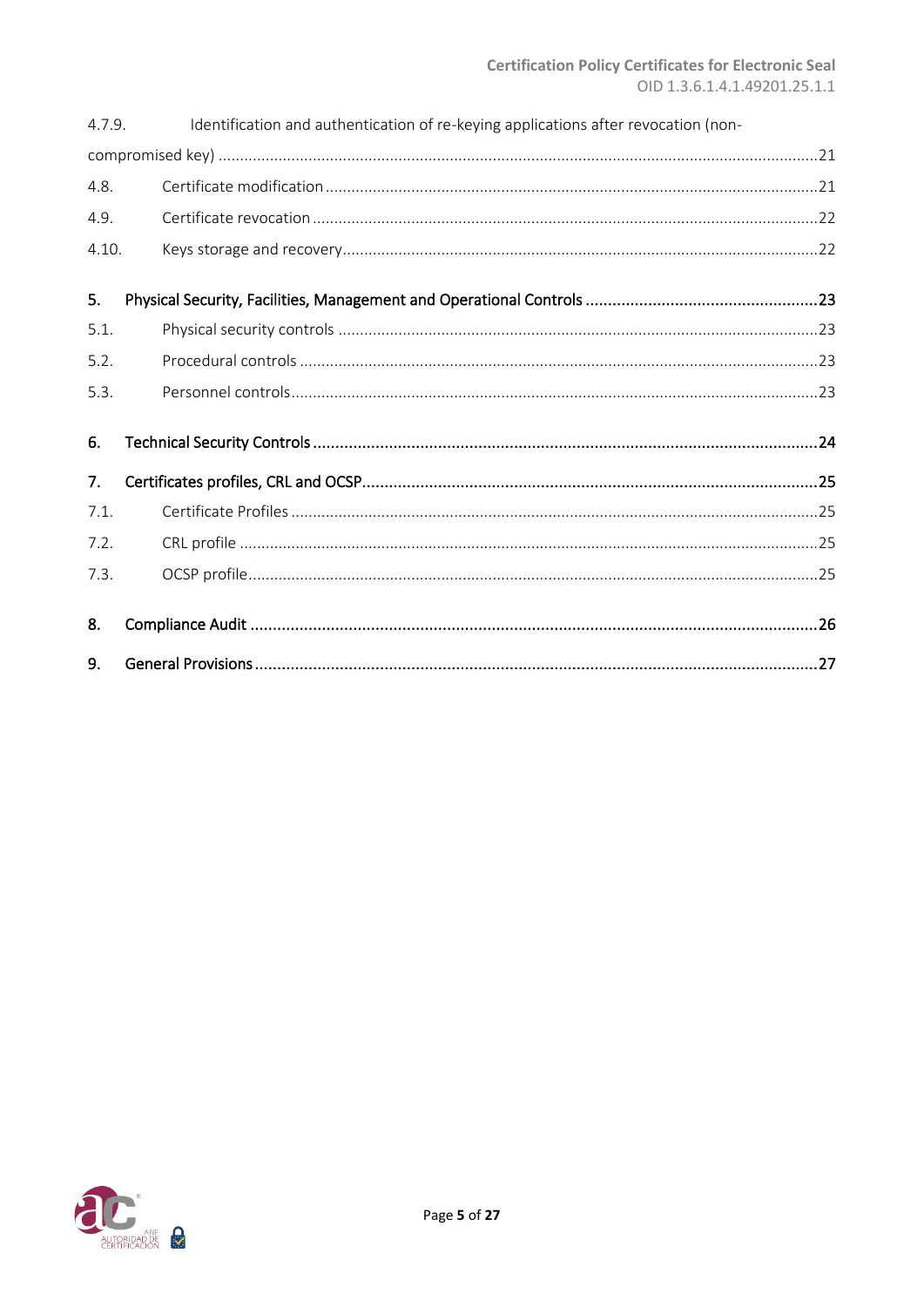| 4.7.9. | Identification and authentication of re-keying applications after revocation (non- |  |  |
|--------|------------------------------------------------------------------------------------|--|--|
|        |                                                                                    |  |  |
| 4.8.   |                                                                                    |  |  |
| 4.9.   |                                                                                    |  |  |
| 4.10.  |                                                                                    |  |  |
| 5.     |                                                                                    |  |  |
| 5.1.   |                                                                                    |  |  |
| 5.2.   |                                                                                    |  |  |
| 5.3.   |                                                                                    |  |  |
| 6.     |                                                                                    |  |  |
| 7.     |                                                                                    |  |  |
| 7.1.   |                                                                                    |  |  |
| 7.2.   |                                                                                    |  |  |
| 7.3.   |                                                                                    |  |  |
| 8.     |                                                                                    |  |  |
| 9.     |                                                                                    |  |  |

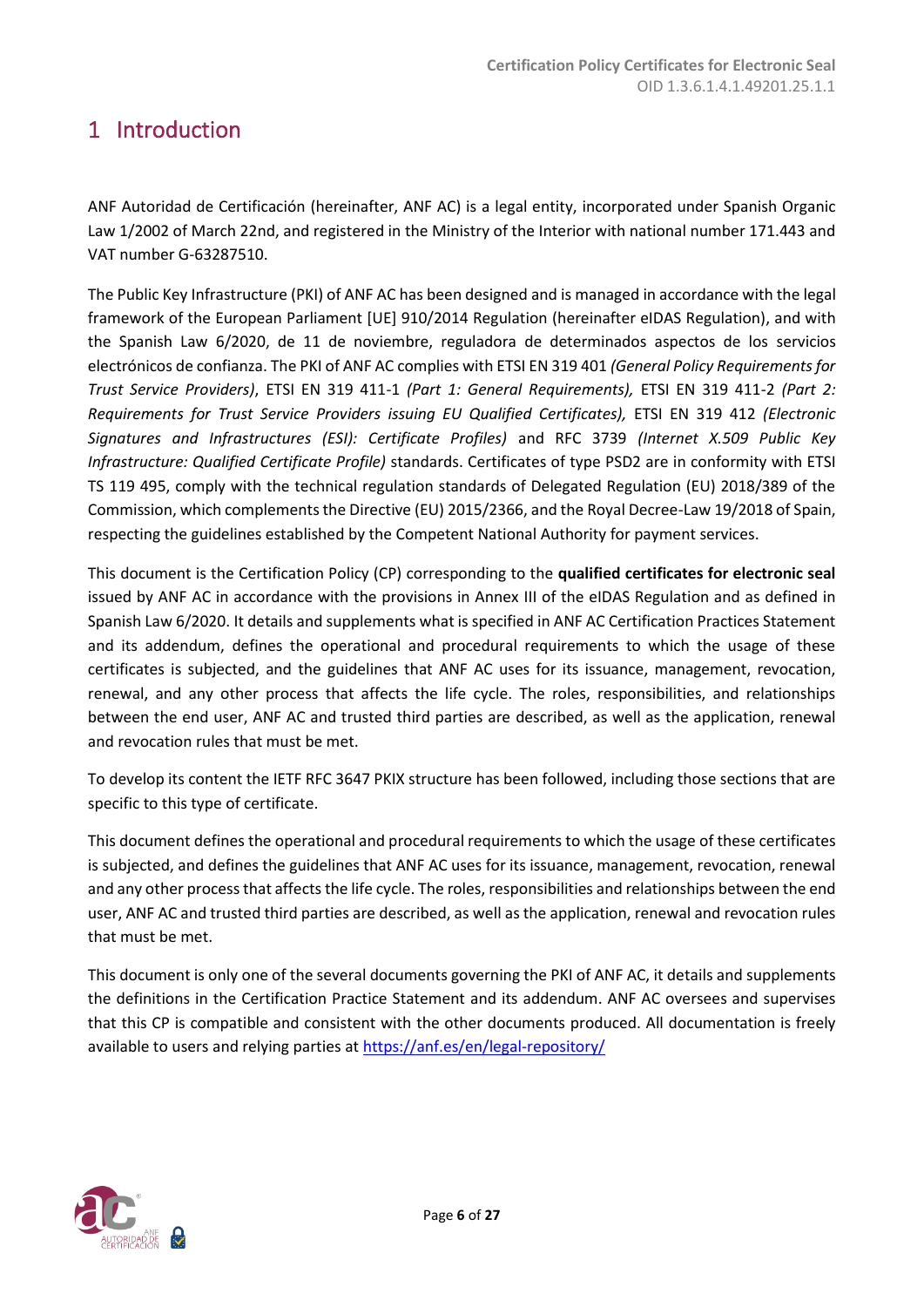# <span id="page-5-0"></span>1 Introduction

ANF Autoridad de Certificación (hereinafter, ANF AC) is a legal entity, incorporated under Spanish Organic Law 1/2002 of March 22nd, and registered in the Ministry of the Interior with national number 171.443 and VAT number G-63287510.

The Public Key Infrastructure (PKI) of ANF AC has been designed and is managed in accordance with the legal framework of the European Parliament [UE] 910/2014 Regulation (hereinafter eIDAS Regulation), and with the Spanish Law 6/2020, de 11 de noviembre, reguladora de determinados aspectos de los servicios electrónicos de confianza. The PKI of ANF AC complies with ETSI EN 319 401 *(General Policy Requirements for Trust Service Providers)*, ETSI EN 319 411-1 *(Part 1: General Requirements),* ETSI EN 319 411-2 *(Part 2: Requirements for Trust Service Providers issuing EU Qualified Certificates),* ETSI EN 319 412 *(Electronic Signatures and Infrastructures (ESI): Certificate Profiles)* and RFC 3739 *(Internet X.509 Public Key Infrastructure: Qualified Certificate Profile)* standards. Certificates of type PSD2 are in conformity with ETSI TS 119 495, comply with the technical regulation standards of Delegated Regulation (EU) 2018/389 of the Commission, which complements the Directive (EU) 2015/2366, and the Royal Decree-Law 19/2018 of Spain, respecting the guidelines established by the Competent National Authority for payment services.

This document is the Certification Policy (CP) corresponding to the **qualified certificates for electronic seal** issued by ANF AC in accordance with the provisions in Annex III of the eIDAS Regulation and as defined in Spanish Law 6/2020. It details and supplements what is specified in ANF AC Certification Practices Statement and its addendum, defines the operational and procedural requirements to which the usage of these certificates is subjected, and the guidelines that ANF AC uses for its issuance, management, revocation, renewal, and any other process that affects the life cycle. The roles, responsibilities, and relationships between the end user, ANF AC and trusted third parties are described, as well as the application, renewal and revocation rules that must be met.

To develop its content the IETF RFC 3647 PKIX structure has been followed, including those sections that are specific to this type of certificate.

This document defines the operational and procedural requirements to which the usage of these certificates is subjected, and defines the guidelines that ANF AC uses for its issuance, management, revocation, renewal and any other process that affects the life cycle. The roles, responsibilities and relationships between the end user, ANF AC and trusted third parties are described, as well as the application, renewal and revocation rules that must be met.

This document is only one of the several documents governing the PKI of ANF AC, it details and supplements the definitions in the Certification Practice Statement and its addendum. ANF AC oversees and supervises that this CP is compatible and consistent with the other documents produced. All documentation is freely available to users and relying parties at <https://anf.es/en/legal-repository/>

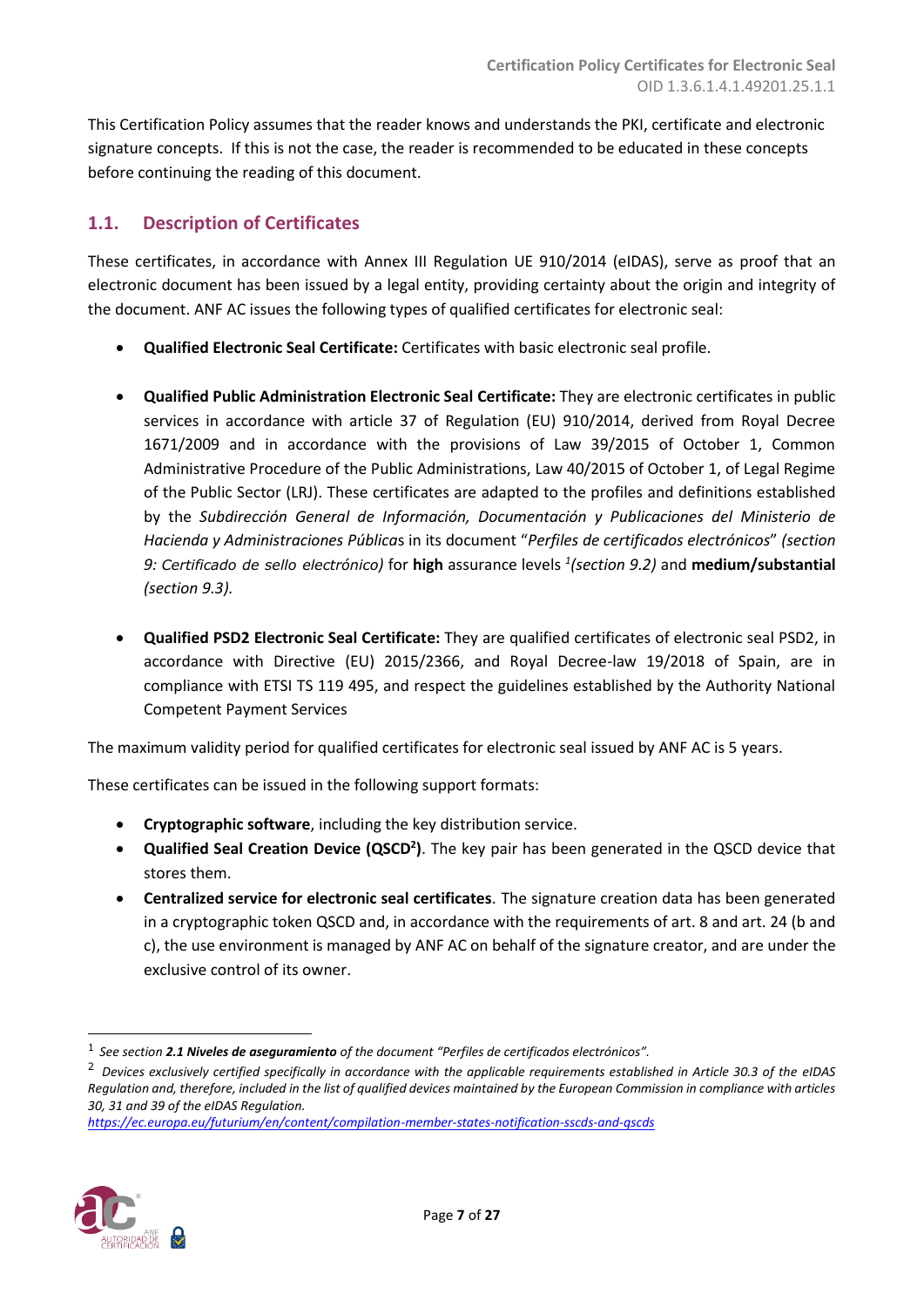This Certification Policy assumes that the reader knows and understands the PKI, certificate and electronic signature concepts. If this is not the case, the reader is recommended to be educated in these concepts before continuing the reading of this document.

# <span id="page-6-0"></span>**1.1. Description of Certificates**

These certificates, in accordance with Annex III Regulation UE 910/2014 (eIDAS), serve as proof that an electronic document has been issued by a legal entity, providing certainty about the origin and integrity of the document. ANF AC issues the following types of qualified certificates for electronic seal:

- **Qualified Electronic Seal Certificate:** Certificates with basic electronic seal profile.
- **Qualified Public Administration Electronic Seal Certificate:** They are electronic certificates in public services in accordance with article 37 of Regulation (EU) 910/2014, derived from Royal Decree 1671/2009 and in accordance with the provisions of Law 39/2015 of October 1, Common Administrative Procedure of the Public Administrations, Law 40/2015 of October 1, of Legal Regime of the Public Sector (LRJ). These certificates are adapted to the profiles and definitions established by the *Subdirección General de Información, Documentación y Publicaciones del Ministerio de Hacienda y Administraciones Pública*s in its document "*Perfiles de certificados electrónicos*" *(section 9: Certificado de sello electrónico)* for **high** assurance levels *<sup>1</sup> (section 9.2)* and **medium/substantial** *(section 9.3).*
- **Qualified PSD2 Electronic Seal Certificate:** They are qualified certificates of electronic seal PSD2, in accordance with Directive (EU) 2015/2366, and Royal Decree-law 19/2018 of Spain, are in compliance with ETSI TS 119 495, and respect the guidelines established by the Authority National Competent Payment Services

The maximum validity period for qualified certificates for electronic seal issued by ANF AC is 5 years.

These certificates can be issued in the following support formats:

- **Cryptographic software**, including the key distribution service.
- **Qualified Seal Creation Device (QSCD<sup>2</sup> )**. The key pair has been generated in the QSCD device that stores them.
- **Centralized service for electronic seal certificates**. The signature creation data has been generated in a cryptographic token QSCD and, in accordance with the requirements of art. 8 and art. 24 (b and c), the use environment is managed by ANF AC on behalf of the signature creator, and are under the exclusive control of its owner.

*<https://ec.europa.eu/futurium/en/content/compilation-member-states-notification-sscds-and-qscds>*



<sup>1</sup> *See section 2.1 Niveles de aseguramiento of the document "Perfiles de certificados electrónicos".*

<sup>2</sup> *Devices exclusively certified specifically in accordance with the applicable requirements established in Article 30.3 of the eIDAS Regulation and, therefore, included in the list of qualified devices maintained by the European Commission in compliance with articles 30, 31 and 39 of the eIDAS Regulation.*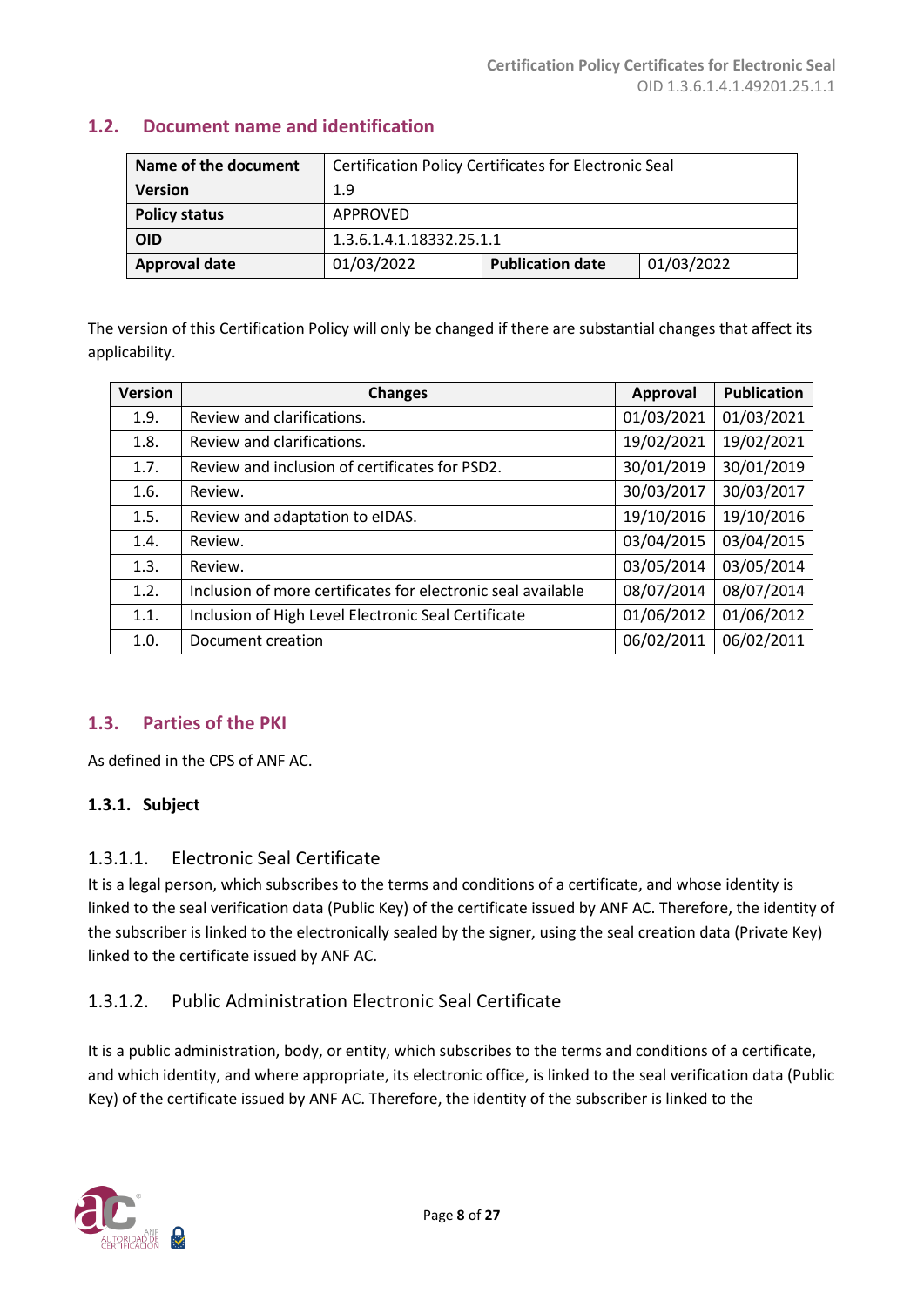| Name of the document | Certification Policy Certificates for Electronic Seal |                         |            |
|----------------------|-------------------------------------------------------|-------------------------|------------|
| <b>Version</b>       | 1.9                                                   |                         |            |
| <b>Policy status</b> | APPROVED                                              |                         |            |
| <b>OID</b>           | 1.3.6.1.4.1.18332.25.1.1                              |                         |            |
| <b>Approval date</b> | 01/03/2022                                            | <b>Publication date</b> | 01/03/2022 |

# <span id="page-7-0"></span>**1.2. Document name and identification**

The version of this Certification Policy will only be changed if there are substantial changes that affect its applicability.

| <b>Version</b> | <b>Changes</b>                                               | <b>Approval</b> | <b>Publication</b> |
|----------------|--------------------------------------------------------------|-----------------|--------------------|
| 1.9.           | Review and clarifications.                                   | 01/03/2021      | 01/03/2021         |
| 1.8.           | Review and clarifications.                                   | 19/02/2021      | 19/02/2021         |
| 1.7.           | Review and inclusion of certificates for PSD2.               | 30/01/2019      | 30/01/2019         |
| 1.6.           | Review.                                                      | 30/03/2017      | 30/03/2017         |
| 1.5.           | Review and adaptation to eIDAS.                              | 19/10/2016      | 19/10/2016         |
| 1.4.           | Review.                                                      | 03/04/2015      | 03/04/2015         |
| 1.3.           | Review.                                                      | 03/05/2014      | 03/05/2014         |
| 1.2.           | Inclusion of more certificates for electronic seal available | 08/07/2014      | 08/07/2014         |
| 1.1.           | Inclusion of High Level Electronic Seal Certificate          | 01/06/2012      | 01/06/2012         |
| 1.0.           | Document creation                                            | 06/02/2011      | 06/02/2011         |

# <span id="page-7-1"></span>**1.3. Parties of the PKI**

As defined in the CPS of ANF AC.

# <span id="page-7-2"></span>**1.3.1. Subject**

# 1.3.1.1. Electronic Seal Certificate

It is a legal person, which subscribes to the terms and conditions of a certificate, and whose identity is linked to the seal verification data (Public Key) of the certificate issued by ANF AC. Therefore, the identity of the subscriber is linked to the electronically sealed by the signer, using the seal creation data (Private Key) linked to the certificate issued by ANF AC.

# 1.3.1.2. Public Administration Electronic Seal Certificate

It is a public administration, body, or entity, which subscribes to the terms and conditions of a certificate, and which identity, and where appropriate, its electronic office, is linked to the seal verification data (Public Key) of the certificate issued by ANF AC. Therefore, the identity of the subscriber is linked to the

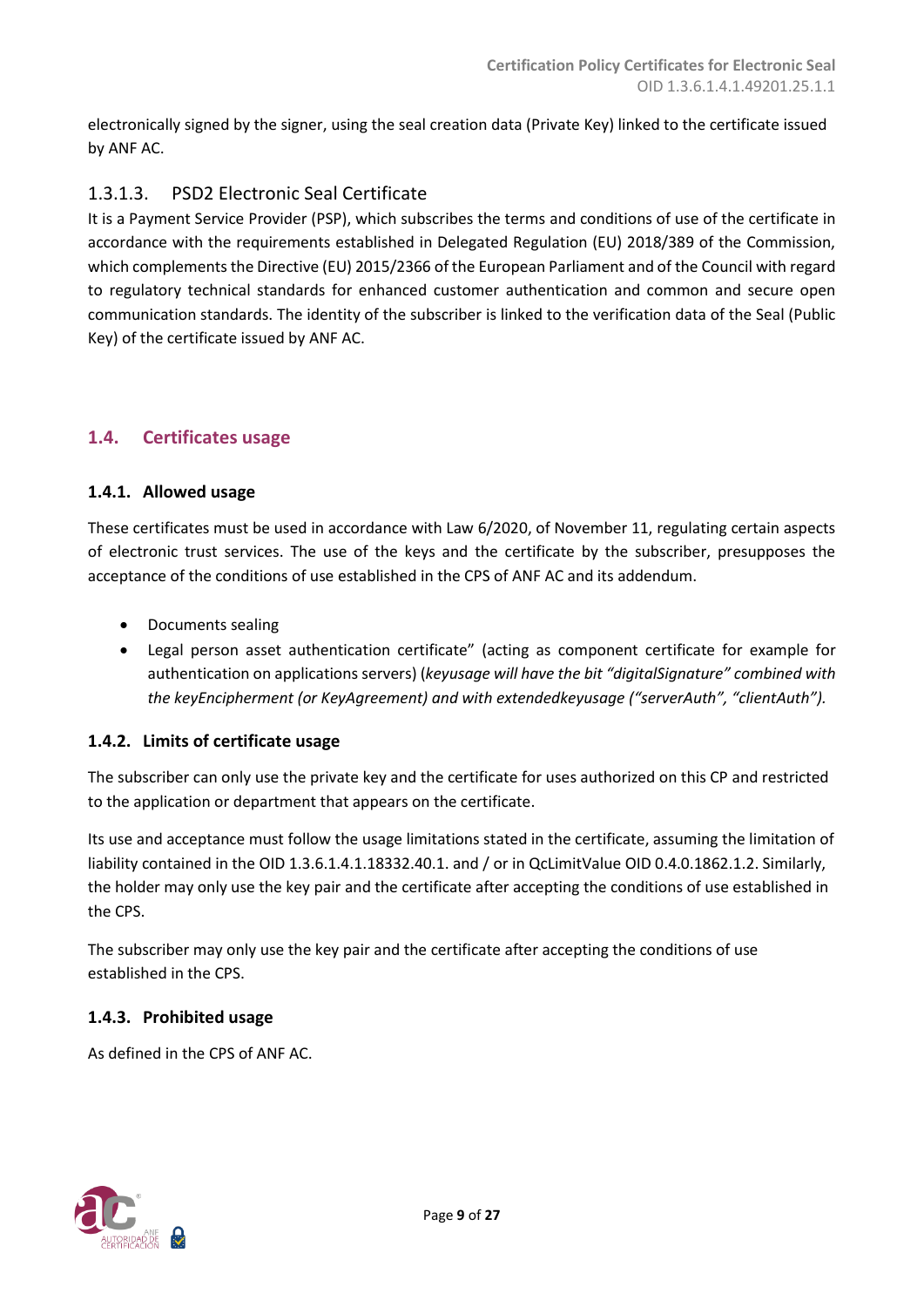electronically signed by the signer, using the seal creation data (Private Key) linked to the certificate issued by ANF AC.

# 1.3.1.3. PSD2 Electronic Seal Certificate

It is a Payment Service Provider (PSP), which subscribes the terms and conditions of use of the certificate in accordance with the requirements established in Delegated Regulation (EU) 2018/389 of the Commission, which complements the Directive (EU) 2015/2366 of the European Parliament and of the Council with regard to regulatory technical standards for enhanced customer authentication and common and secure open communication standards. The identity of the subscriber is linked to the verification data of the Seal (Public Key) of the certificate issued by ANF AC.

# <span id="page-8-0"></span>**1.4. Certificates usage**

# <span id="page-8-1"></span>**1.4.1. Allowed usage**

These certificates must be used in accordance with Law 6/2020, of November 11, regulating certain aspects of electronic trust services. The use of the keys and the certificate by the subscriber, presupposes the acceptance of the conditions of use established in the CPS of ANF AC and its addendum.

- Documents sealing
- Legal person asset authentication certificate" (acting as component certificate for example for authentication on applications servers) (*keyusage will have the bit "digitalSignature" combined with the keyEncipherment (or KeyAgreement) and with extendedkeyusage ("serverAuth", "clientAuth").*

# <span id="page-8-2"></span>**1.4.2. Limits of certificate usage**

The subscriber can only use the private key and the certificate for uses authorized on this CP and restricted to the application or department that appears on the certificate.

Its use and acceptance must follow the usage limitations stated in the certificate, assuming the limitation of liability contained in the OID 1.3.6.1.4.1.18332.40.1. and / or in QcLimitValue OID 0.4.0.1862.1.2. Similarly, the holder may only use the key pair and the certificate after accepting the conditions of use established in the CPS.

The subscriber may only use the key pair and the certificate after accepting the conditions of use established in the CPS.

#### <span id="page-8-3"></span>**1.4.3. Prohibited usage**

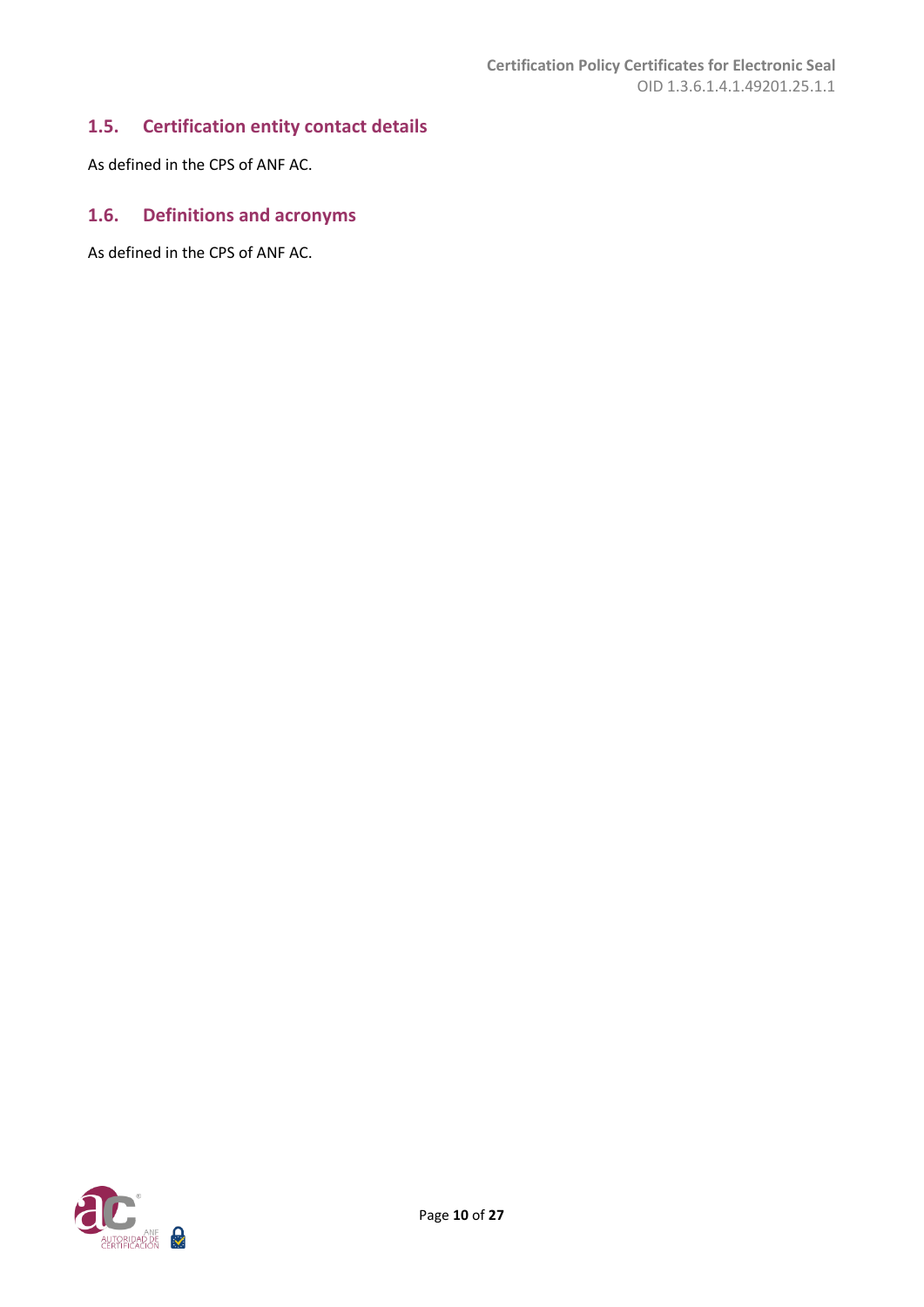# <span id="page-9-0"></span>**1.5. Certification entity contact details**

As defined in the CPS of ANF AC.

# <span id="page-9-1"></span>**1.6. Definitions and acronyms**

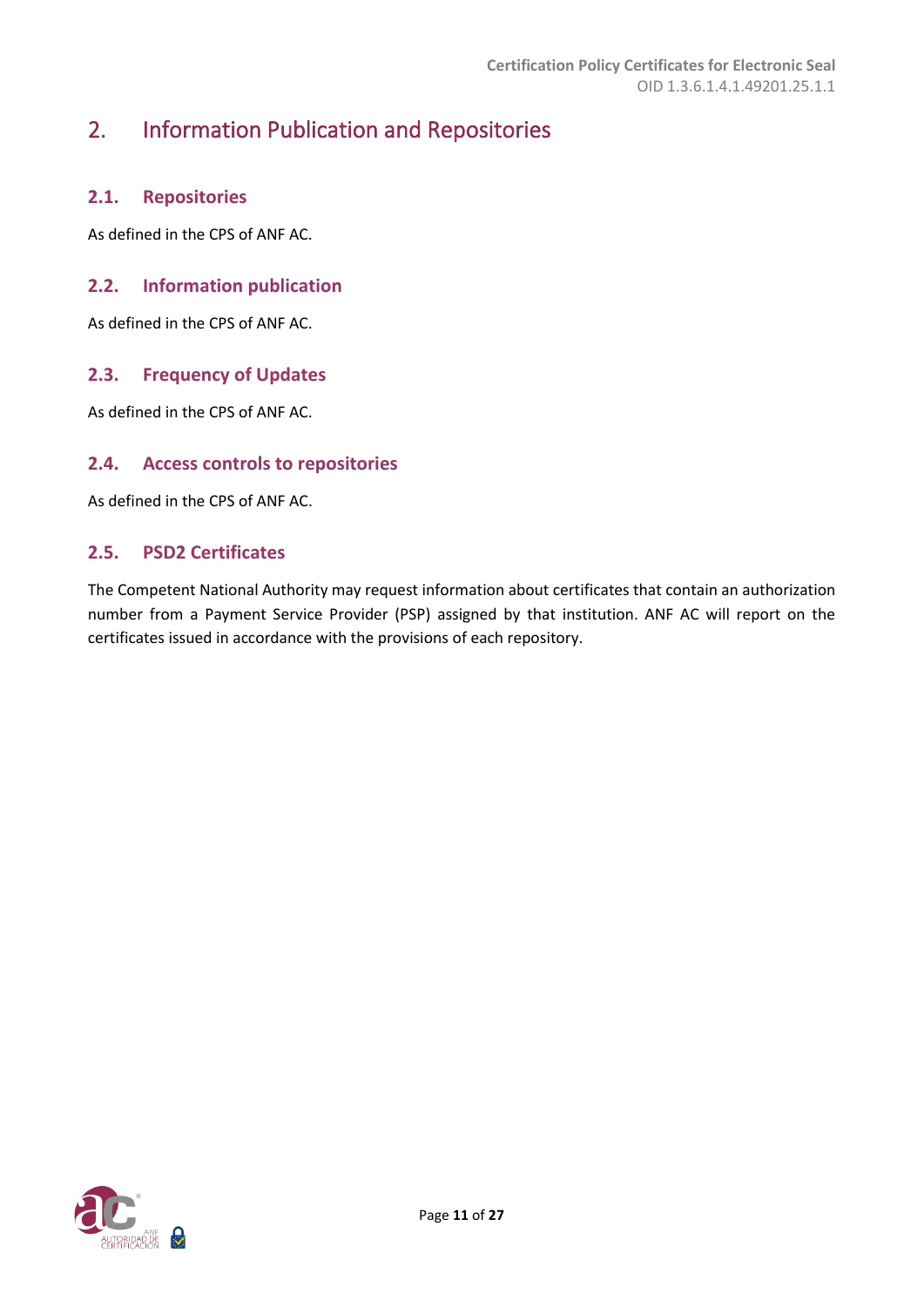# <span id="page-10-0"></span>2. Information Publication and Repositories

# <span id="page-10-1"></span>**2.1. Repositories**

As defined in the CPS of ANF AC.

# <span id="page-10-2"></span>**2.2. Information publication**

As defined in the CPS of ANF AC.

#### <span id="page-10-3"></span>**2.3. Frequency of Updates**

As defined in the CPS of ANF AC.

#### <span id="page-10-4"></span>**2.4. Access controls to repositories**

As defined in the CPS of ANF AC.

## <span id="page-10-5"></span>**2.5. PSD2 Certificates**

The Competent National Authority may request information about certificates that contain an authorization number from a Payment Service Provider (PSP) assigned by that institution. ANF AC will report on the certificates issued in accordance with the provisions of each repository.

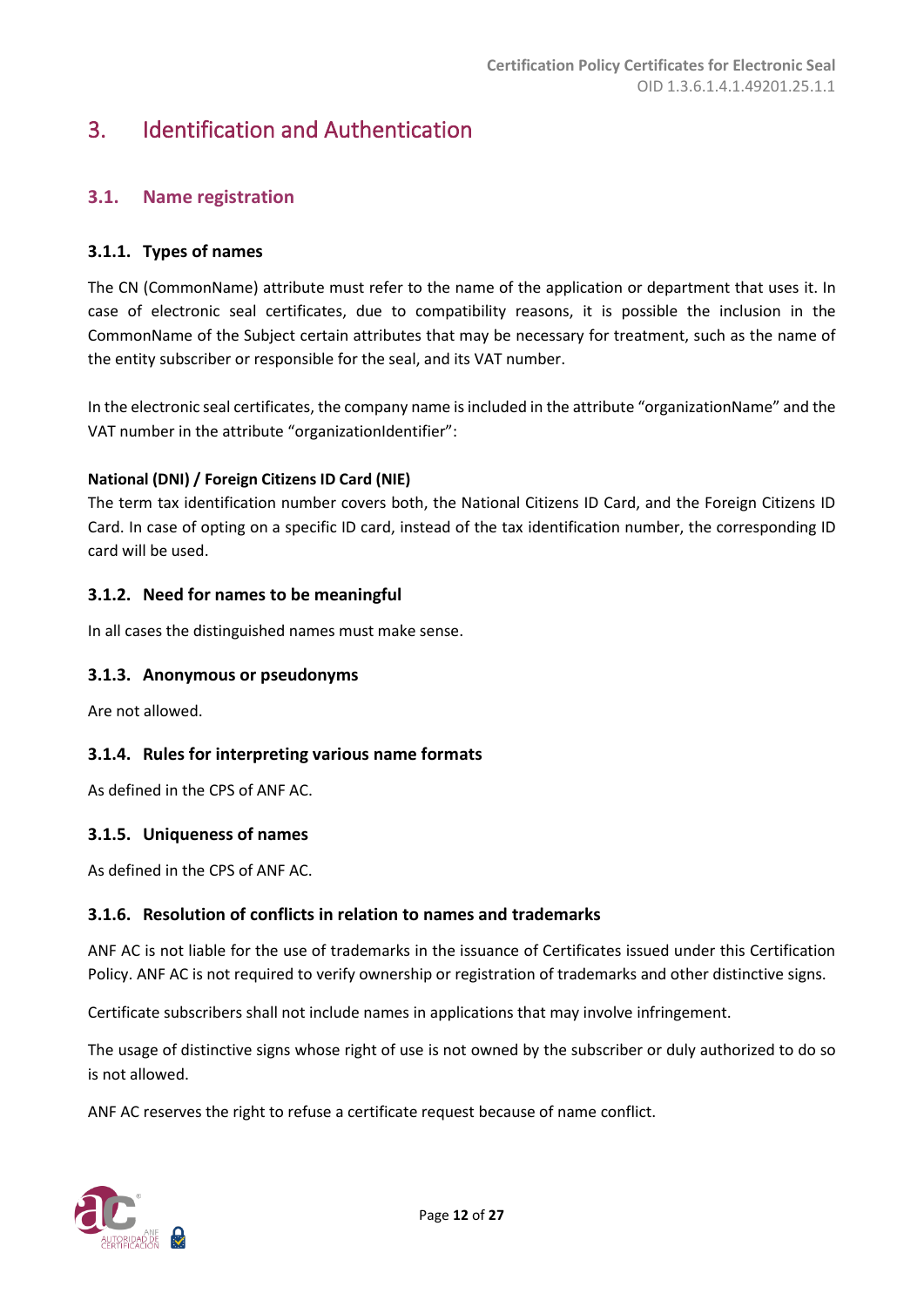# <span id="page-11-0"></span>3. Identification and Authentication

# <span id="page-11-1"></span>**3.1. Name registration**

#### <span id="page-11-2"></span>**3.1.1. Types of names**

The CN (CommonName) attribute must refer to the name of the application or department that uses it. In case of electronic seal certificates, due to compatibility reasons, it is possible the inclusion in the CommonName of the Subject certain attributes that may be necessary for treatment, such as the name of the entity subscriber or responsible for the seal, and its VAT number.

In the electronic seal certificates, the company name is included in the attribute "organizationName" and the VAT number in the attribute "organizationIdentifier":

#### **National (DNI) / Foreign Citizens ID Card (NIE)**

The term tax identification number covers both, the National Citizens ID Card, and the Foreign Citizens ID Card. In case of opting on a specific ID card, instead of the tax identification number, the corresponding ID card will be used.

#### <span id="page-11-3"></span>**3.1.2. Need for names to be meaningful**

In all cases the distinguished names must make sense.

#### <span id="page-11-4"></span>**3.1.3. Anonymous or pseudonyms**

Are not allowed.

#### <span id="page-11-5"></span>**3.1.4. Rules for interpreting various name formats**

As defined in the CPS of ANF AC.

#### <span id="page-11-6"></span>**3.1.5. Uniqueness of names**

As defined in the CPS of ANF AC.

#### <span id="page-11-7"></span>**3.1.6. Resolution of conflicts in relation to names and trademarks**

ANF AC is not liable for the use of trademarks in the issuance of Certificates issued under this Certification Policy. ANF AC is not required to verify ownership or registration of trademarks and other distinctive signs.

Certificate subscribers shall not include names in applications that may involve infringement.

The usage of distinctive signs whose right of use is not owned by the subscriber or duly authorized to do so is not allowed.

ANF AC reserves the right to refuse a certificate request because of name conflict.

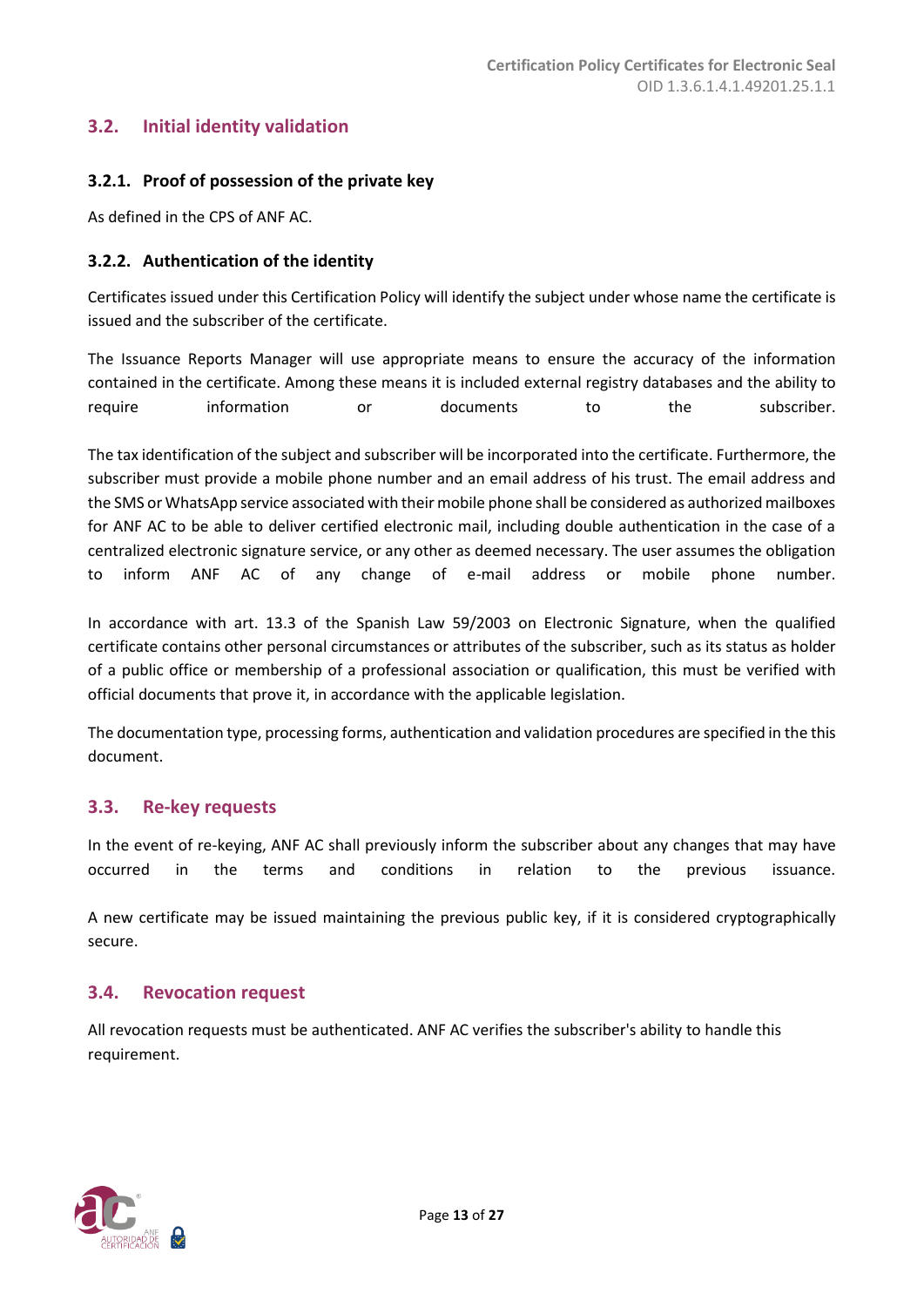# <span id="page-12-0"></span>**3.2. Initial identity validation**

#### <span id="page-12-1"></span>**3.2.1. Proof of possession of the private key**

As defined in the CPS of ANF AC.

#### <span id="page-12-2"></span>**3.2.2. Authentication of the identity**

Certificates issued under this Certification Policy will identify the subject under whose name the certificate is issued and the subscriber of the certificate.

The Issuance Reports Manager will use appropriate means to ensure the accuracy of the information contained in the certificate. Among these means it is included external registry databases and the ability to require information or documents to the subscriber.

The tax identification of the subject and subscriber will be incorporated into the certificate. Furthermore, the subscriber must provide a mobile phone number and an email address of his trust. The email address and the SMS or WhatsApp service associated with their mobile phone shall be considered as authorized mailboxes for ANF AC to be able to deliver certified electronic mail, including double authentication in the case of a centralized electronic signature service, or any other as deemed necessary. The user assumes the obligation to inform ANF AC of any change of e-mail address or mobile phone number.

In accordance with art. 13.3 of the Spanish Law 59/2003 on Electronic Signature, when the qualified certificate contains other personal circumstances or attributes of the subscriber, such as its status as holder of a public office or membership of a professional association or qualification, this must be verified with official documents that prove it, in accordance with the applicable legislation.

The documentation type, processing forms, authentication and validation procedures are specified in the this document.

#### <span id="page-12-3"></span>**3.3. Re-key requests**

In the event of re-keying, ANF AC shall previously inform the subscriber about any changes that may have occurred in the terms and conditions in relation to the previous issuance.

A new certificate may be issued maintaining the previous public key, if it is considered cryptographically secure.

#### <span id="page-12-4"></span>**3.4. Revocation request**

All revocation requests must be authenticated. ANF AC verifies the subscriber's ability to handle this requirement.

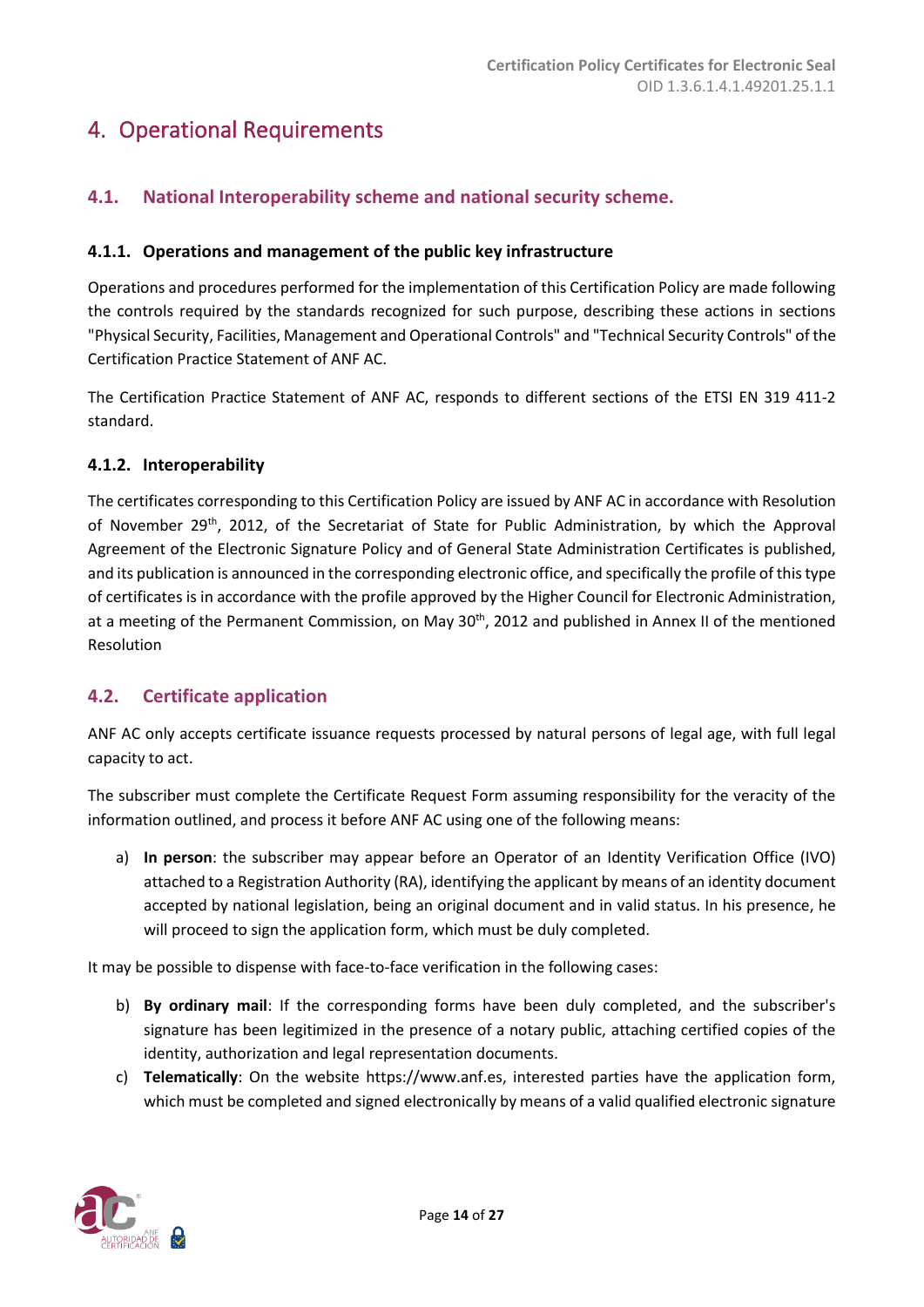# <span id="page-13-0"></span>4. Operational Requirements

# <span id="page-13-1"></span>**4.1. National Interoperability scheme and national security scheme.**

## <span id="page-13-2"></span>**4.1.1. Operations and management of the public key infrastructure**

Operations and procedures performed for the implementation of this Certification Policy are made following the controls required by the standards recognized for such purpose, describing these actions in sections "Physical Security, Facilities, Management and Operational Controls" and "Technical Security Controls" of the Certification Practice Statement of ANF AC.

The Certification Practice Statement of ANF AC, responds to different sections of the ETSI EN 319 411-2 standard.

#### <span id="page-13-3"></span>**4.1.2. Interoperability**

The certificates corresponding to this Certification Policy are issued by ANF AC in accordance with Resolution of November 29<sup>th</sup>, 2012, of the Secretariat of State for Public Administration, by which the Approval Agreement of the Electronic Signature Policy and of General State Administration Certificates is published, and its publication is announced in the corresponding electronic office, and specifically the profile of this type of certificates is in accordance with the profile approved by the Higher Council for Electronic Administration, at a meeting of the Permanent Commission, on May 30<sup>th</sup>, 2012 and published in Annex II of the mentioned Resolution

# <span id="page-13-4"></span>**4.2. Certificate application**

ANF AC only accepts certificate issuance requests processed by natural persons of legal age, with full legal capacity to act.

The subscriber must complete the Certificate Request Form assuming responsibility for the veracity of the information outlined, and process it before ANF AC using one of the following means:

a) **In person**: the subscriber may appear before an Operator of an Identity Verification Office (IVO) attached to a Registration Authority (RA), identifying the applicant by means of an identity document accepted by national legislation, being an original document and in valid status. In his presence, he will proceed to sign the application form, which must be duly completed.

It may be possible to dispense with face-to-face verification in the following cases:

- b) **By ordinary mail**: If the corresponding forms have been duly completed, and the subscriber's signature has been legitimized in the presence of a notary public, attaching certified copies of the identity, authorization and legal representation documents.
- c) **Telematically**: On the website https://www.anf.es, interested parties have the application form, which must be completed and signed electronically by means of a valid qualified electronic signature

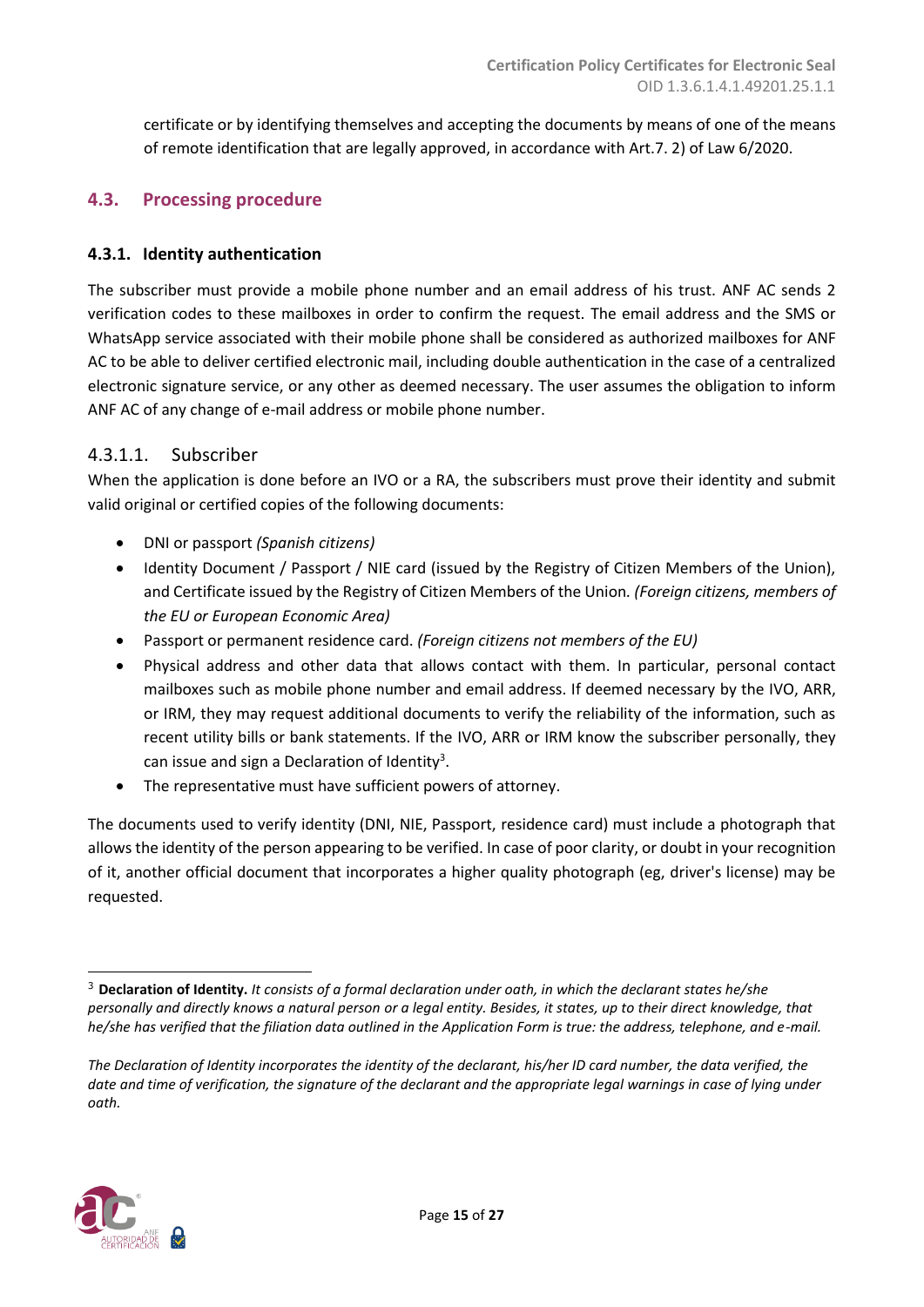certificate or by identifying themselves and accepting the documents by means of one of the means of remote identification that are legally approved, in accordance with Art.7. 2) of Law 6/2020.

# <span id="page-14-0"></span>**4.3. Processing procedure**

#### <span id="page-14-1"></span>**4.3.1. Identity authentication**

The subscriber must provide a mobile phone number and an email address of his trust. ANF AC sends 2 verification codes to these mailboxes in order to confirm the request. The email address and the SMS or WhatsApp service associated with their mobile phone shall be considered as authorized mailboxes for ANF AC to be able to deliver certified electronic mail, including double authentication in the case of a centralized electronic signature service, or any other as deemed necessary. The user assumes the obligation to inform ANF AC of any change of e-mail address or mobile phone number.

#### 4.3.1.1. Subscriber

When the application is done before an IVO or a RA, the subscribers must prove their identity and submit valid original or certified copies of the following documents:

- DNI or passport *(Spanish citizens)*
- Identity Document / Passport / NIE card (issued by the Registry of Citizen Members of the Union), and Certificate issued by the Registry of Citizen Members of the Union*. (Foreign citizens, members of the EU or European Economic Area)*
- Passport or permanent residence card. *(Foreign citizens not members of the EU)*
- Physical address and other data that allows contact with them. In particular, personal contact mailboxes such as mobile phone number and email address. If deemed necessary by the IVO, ARR, or IRM, they may request additional documents to verify the reliability of the information, such as recent utility bills or bank statements. If the IVO, ARR or IRM know the subscriber personally, they can issue and sign a Declaration of Identity<sup>3</sup>.
- The representative must have sufficient powers of attorney.

The documents used to verify identity (DNI, NIE, Passport, residence card) must include a photograph that allows the identity of the person appearing to be verified. In case of poor clarity, or doubt in your recognition of it, another official document that incorporates a higher quality photograph (eg, driver's license) may be requested.



<sup>3</sup> **Declaration of Identity.** *It consists of a formal declaration under oath, in which the declarant states he/she personally and directly knows a natural person or a legal entity. Besides, it states, up to their direct knowledge, that he/she has verified that the filiation data outlined in the Application Form is true: the address, telephone, and e-mail.* 

*The Declaration of Identity incorporates the identity of the declarant, his/her ID card number, the data verified, the date and time of verification, the signature of the declarant and the appropriate legal warnings in case of lying under oath.*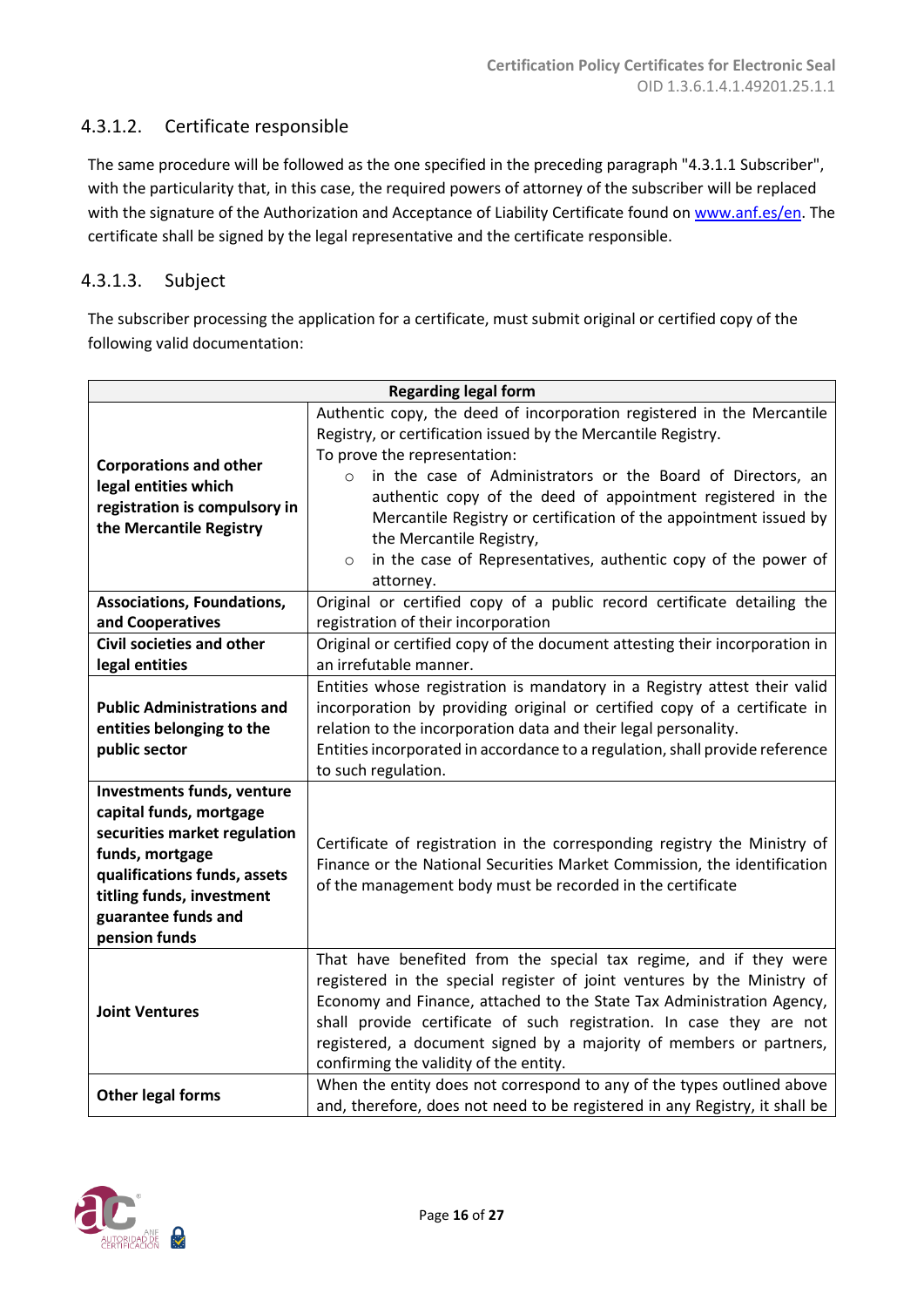# 4.3.1.2. Certificate responsible

The same procedure will be followed as the one specified in the preceding paragraph "4.3.1.1 Subscriber", with the particularity that, in this case, the required powers of attorney of the subscriber will be replaced with the signature of the Authorization and Acceptance of Liability Certificate found on [www.anf.es/en.](http://www.anf.es/en) The certificate shall be signed by the legal representative and the certificate responsible.

# 4.3.1.3. Subject

The subscriber processing the application for a certificate, must submit original or certified copy of the following valid documentation:

| <b>Regarding legal form</b>                                                                                                                                                                                   |                                                                                                                                                                                                                                                                                                                                                                                                                                                                                                             |  |  |
|---------------------------------------------------------------------------------------------------------------------------------------------------------------------------------------------------------------|-------------------------------------------------------------------------------------------------------------------------------------------------------------------------------------------------------------------------------------------------------------------------------------------------------------------------------------------------------------------------------------------------------------------------------------------------------------------------------------------------------------|--|--|
| <b>Corporations and other</b><br>legal entities which<br>registration is compulsory in<br>the Mercantile Registry                                                                                             | Authentic copy, the deed of incorporation registered in the Mercantile<br>Registry, or certification issued by the Mercantile Registry.<br>To prove the representation:<br>in the case of Administrators or the Board of Directors, an<br>$\circ$<br>authentic copy of the deed of appointment registered in the<br>Mercantile Registry or certification of the appointment issued by<br>the Mercantile Registry,<br>in the case of Representatives, authentic copy of the power of<br>$\circ$<br>attorney. |  |  |
| <b>Associations, Foundations,</b><br>and Cooperatives                                                                                                                                                         | Original or certified copy of a public record certificate detailing the<br>registration of their incorporation                                                                                                                                                                                                                                                                                                                                                                                              |  |  |
| <b>Civil societies and other</b><br>Original or certified copy of the document attesting their incorporation in<br>an irrefutable manner.<br>legal entities                                                   |                                                                                                                                                                                                                                                                                                                                                                                                                                                                                                             |  |  |
| <b>Public Administrations and</b><br>entities belonging to the<br>public sector                                                                                                                               | Entities whose registration is mandatory in a Registry attest their valid<br>incorporation by providing original or certified copy of a certificate in<br>relation to the incorporation data and their legal personality.<br>Entities incorporated in accordance to a regulation, shall provide reference<br>to such regulation.                                                                                                                                                                            |  |  |
| Investments funds, venture<br>capital funds, mortgage<br>securities market regulation<br>funds, mortgage<br>qualifications funds, assets<br>titling funds, investment<br>guarantee funds and<br>pension funds | Certificate of registration in the corresponding registry the Ministry of<br>Finance or the National Securities Market Commission, the identification<br>of the management body must be recorded in the certificate                                                                                                                                                                                                                                                                                         |  |  |
| <b>Joint Ventures</b>                                                                                                                                                                                         | That have benefited from the special tax regime, and if they were<br>registered in the special register of joint ventures by the Ministry of<br>Economy and Finance, attached to the State Tax Administration Agency,<br>shall provide certificate of such registration. In case they are not<br>registered, a document signed by a majority of members or partners,<br>confirming the validity of the entity.                                                                                              |  |  |
| <b>Other legal forms</b>                                                                                                                                                                                      | When the entity does not correspond to any of the types outlined above<br>and, therefore, does not need to be registered in any Registry, it shall be                                                                                                                                                                                                                                                                                                                                                       |  |  |

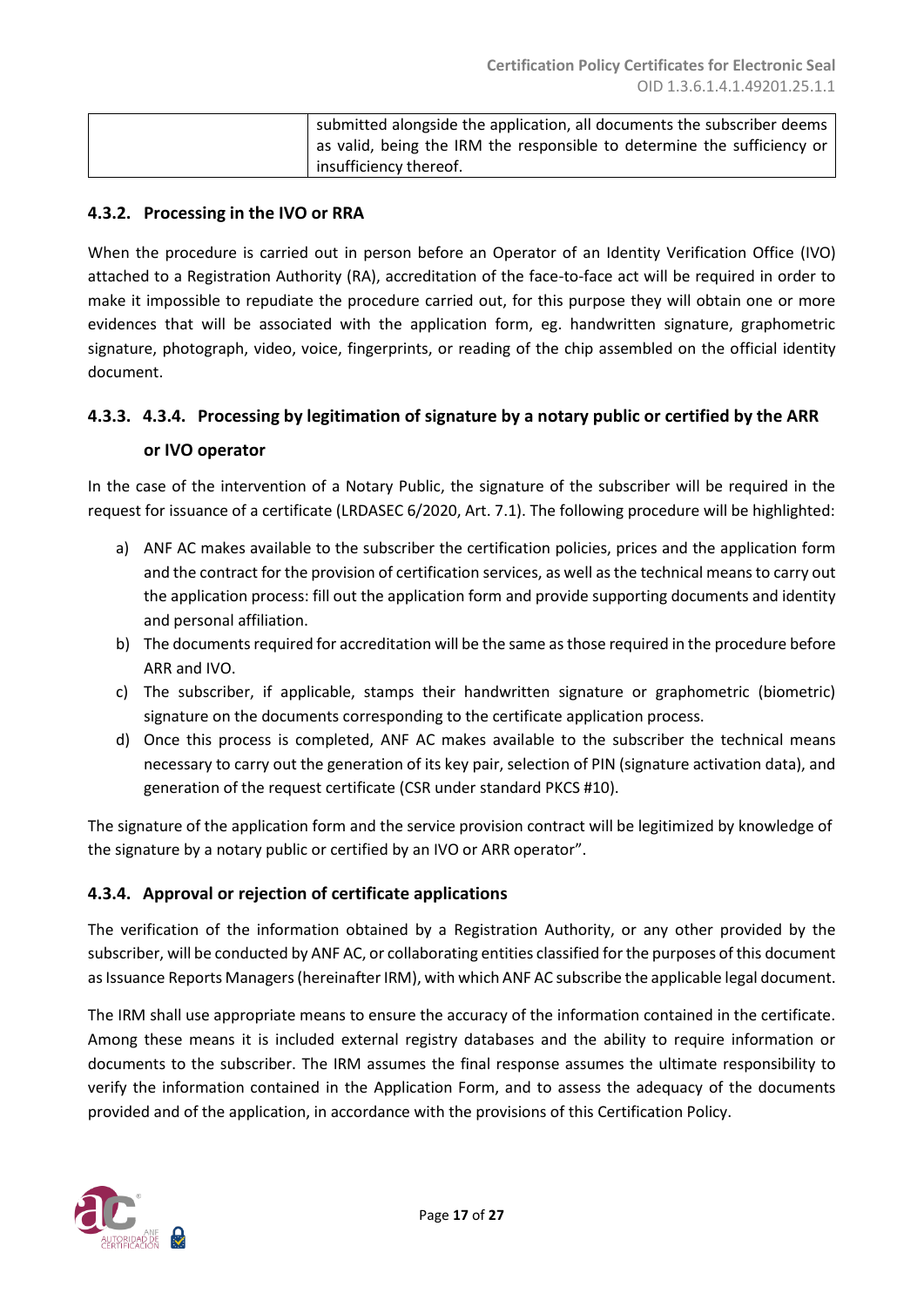| submitted alongside the application, all documents the subscriber deems |
|-------------------------------------------------------------------------|
| as valid, being the IRM the responsible to determine the sufficiency or |
| insufficiency thereof.                                                  |

#### **4.3.2. Processing in the IVO or RRA**

When the procedure is carried out in person before an Operator of an Identity Verification Office (IVO) attached to a Registration Authority (RA), accreditation of the face-to-face act will be required in order to make it impossible to repudiate the procedure carried out, for this purpose they will obtain one or more evidences that will be associated with the application form, eg. handwritten signature, graphometric signature, photograph, video, voice, fingerprints, or reading of the chip assembled on the official identity document.

#### <span id="page-16-0"></span>**4.3.3. 4.3.4. Processing by legitimation of signature by a notary public or certified by the ARR**

#### **or IVO operator**

In the case of the intervention of a Notary Public, the signature of the subscriber will be required in the request for issuance of a certificate (LRDASEC 6/2020, Art. 7.1). The following procedure will be highlighted:

- a) ANF AC makes available to the subscriber the certification policies, prices and the application form and the contract for the provision of certification services, as well as the technical means to carry out the application process: fill out the application form and provide supporting documents and identity and personal affiliation.
- b) The documents required for accreditation will be the same as those required in the procedure before ARR and IVO.
- c) The subscriber, if applicable, stamps their handwritten signature or graphometric (biometric) signature on the documents corresponding to the certificate application process.
- d) Once this process is completed, ANF AC makes available to the subscriber the technical means necessary to carry out the generation of its key pair, selection of PIN (signature activation data), and generation of the request certificate (CSR under standard PKCS #10).

The signature of the application form and the service provision contract will be legitimized by knowledge of the signature by a notary public or certified by an IVO or ARR operator".

#### <span id="page-16-1"></span>**4.3.4. Approval or rejection of certificate applications**

The verification of the information obtained by a Registration Authority, or any other provided by the subscriber, will be conducted by ANF AC, or collaborating entities classified for the purposes of this document as Issuance Reports Managers (hereinafter IRM), with which ANF AC subscribe the applicable legal document.

The IRM shall use appropriate means to ensure the accuracy of the information contained in the certificate. Among these means it is included external registry databases and the ability to require information or documents to the subscriber. The IRM assumes the final response assumes the ultimate responsibility to verify the information contained in the Application Form, and to assess the adequacy of the documents provided and of the application, in accordance with the provisions of this Certification Policy.

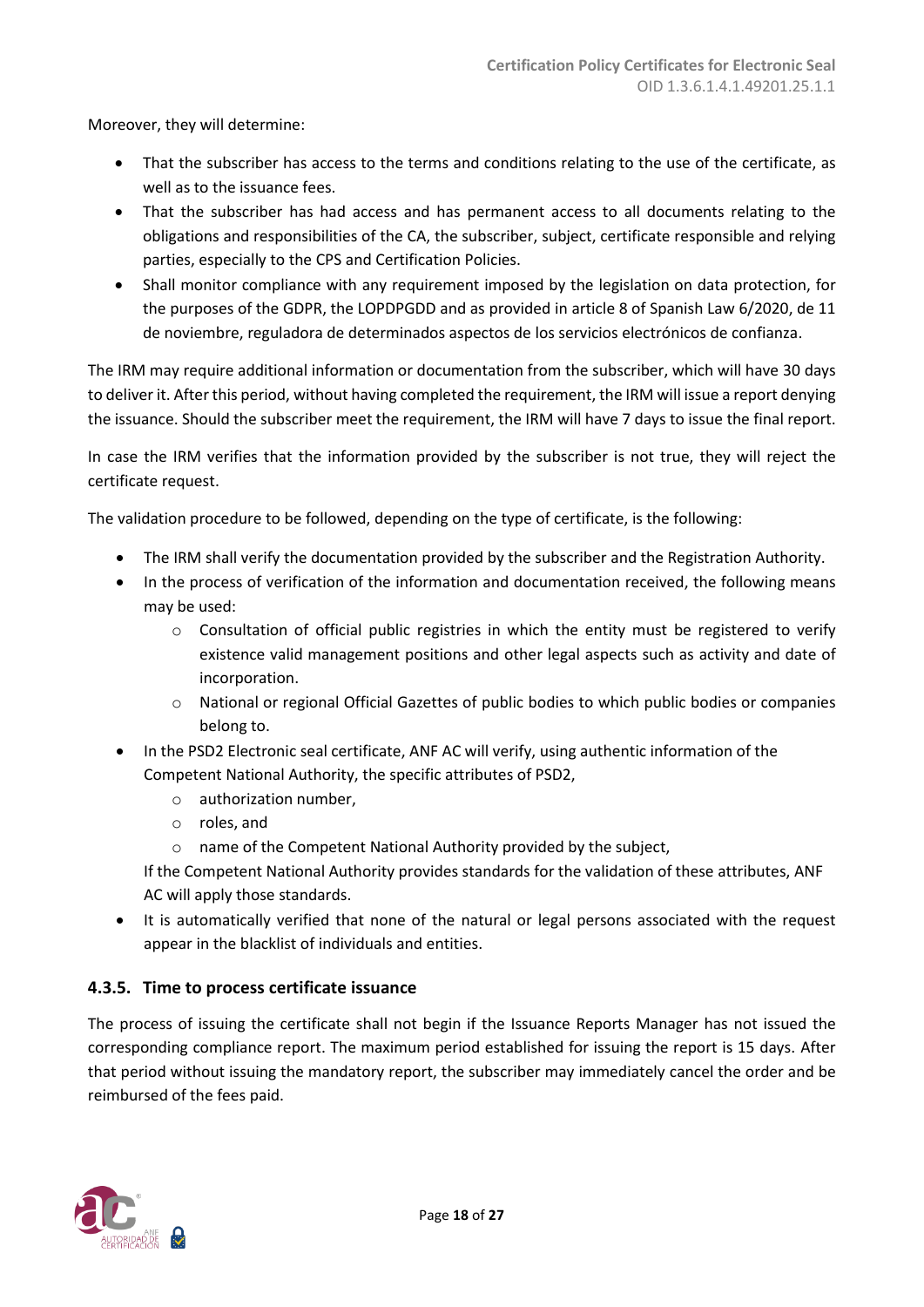Moreover, they will determine:

- That the subscriber has access to the terms and conditions relating to the use of the certificate, as well as to the issuance fees.
- That the subscriber has had access and has permanent access to all documents relating to the obligations and responsibilities of the CA, the subscriber, subject, certificate responsible and relying parties, especially to the CPS and Certification Policies.
- Shall monitor compliance with any requirement imposed by the legislation on data protection, for the purposes of the GDPR, the LOPDPGDD and as provided in article 8 of Spanish Law 6/2020, de 11 de noviembre, reguladora de determinados aspectos de los servicios electrónicos de confianza.

The IRM may require additional information or documentation from the subscriber, which will have 30 days to deliver it. After this period, without having completed the requirement, the IRM will issue a report denying the issuance. Should the subscriber meet the requirement, the IRM will have 7 days to issue the final report.

In case the IRM verifies that the information provided by the subscriber is not true, they will reject the certificate request.

The validation procedure to be followed, depending on the type of certificate, is the following:

- The IRM shall verify the documentation provided by the subscriber and the Registration Authority.
- In the process of verification of the information and documentation received, the following means may be used:
	- $\circ$  Consultation of official public registries in which the entity must be registered to verify existence valid management positions and other legal aspects such as activity and date of incorporation.
	- o National or regional Official Gazettes of public bodies to which public bodies or companies belong to.
- In the PSD2 Electronic seal certificate, ANF AC will verify, using authentic information of the Competent National Authority, the specific attributes of PSD2,
	- o authorization number,
	- o roles, and
	- o name of the Competent National Authority provided by the subject,

If the Competent National Authority provides standards for the validation of these attributes, ANF AC will apply those standards.

• It is automatically verified that none of the natural or legal persons associated with the request appear in the blacklist of individuals and entities.

#### <span id="page-17-0"></span>**4.3.5. Time to process certificate issuance**

The process of issuing the certificate shall not begin if the Issuance Reports Manager has not issued the corresponding compliance report. The maximum period established for issuing the report is 15 days. After that period without issuing the mandatory report, the subscriber may immediately cancel the order and be reimbursed of the fees paid.

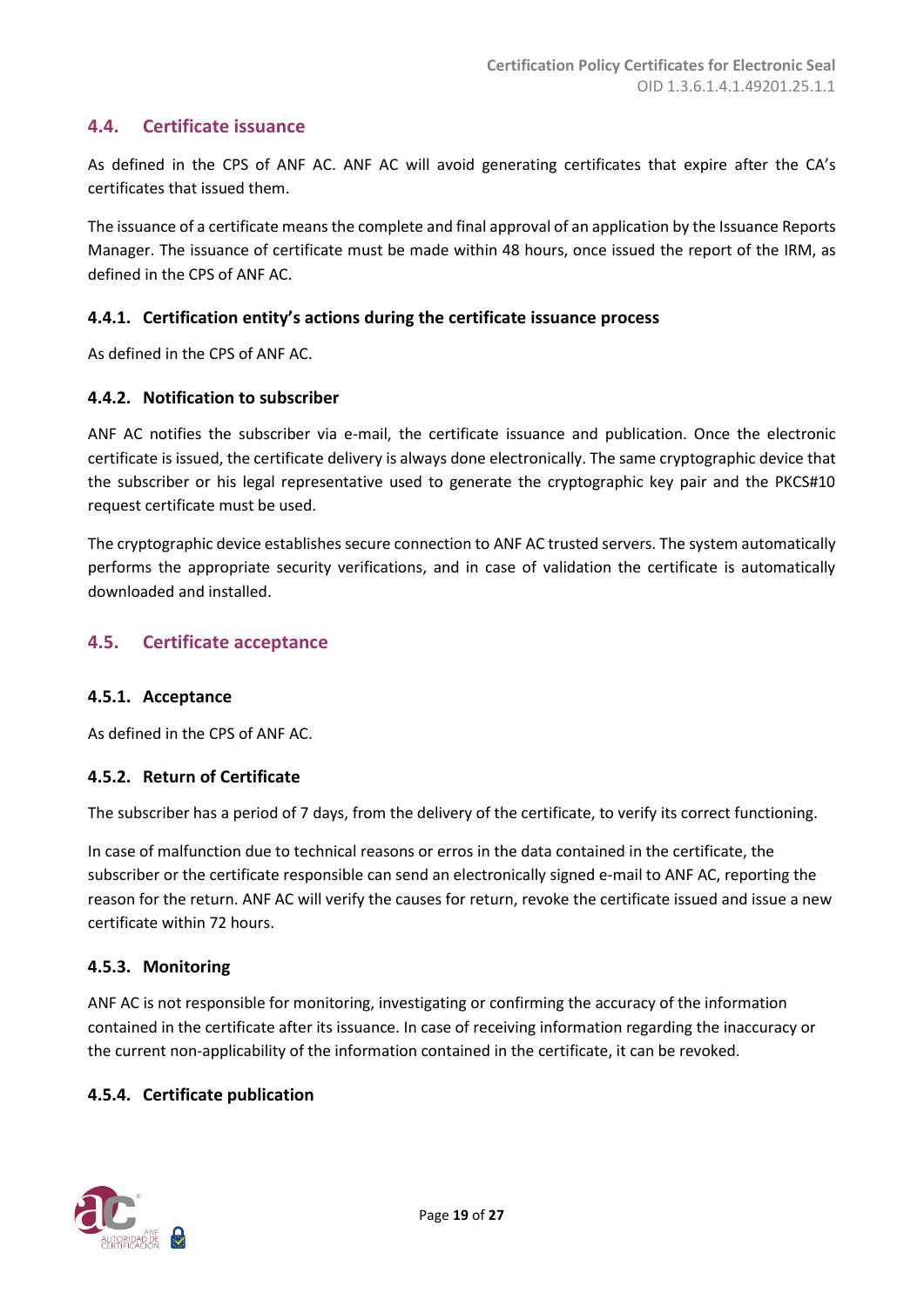# <span id="page-18-0"></span>**4.4. Certificate issuance**

As defined in the CPS of ANF AC. ANF AC will avoid generating certificates that expire after the CA's certificates that issued them.

The issuance of a certificate means the complete and final approval of an application by the Issuance Reports Manager. The issuance of certificate must be made within 48 hours, once issued the report of the IRM, as defined in the CPS of ANF AC.

#### <span id="page-18-1"></span>**4.4.1. Certification entity's actions during the certificate issuance process**

As defined in the CPS of ANF AC.

#### <span id="page-18-2"></span>**4.4.2. Notification to subscriber**

ANF AC notifies the subscriber via e-mail, the certificate issuance and publication. Once the electronic certificate is issued, the certificate delivery is always done electronically. The same cryptographic device that the subscriber or his legal representative used to generate the cryptographic key pair and the PKCS#10 request certificate must be used.

The cryptographic device establishes secure connection to ANF AC trusted servers. The system automatically performs the appropriate security verifications, and in case of validation the certificate is automatically downloaded and installed.

#### <span id="page-18-3"></span>**4.5. Certificate acceptance**

#### <span id="page-18-4"></span>**4.5.1. Acceptance**

As defined in the CPS of ANF AC.

#### <span id="page-18-5"></span>**4.5.2. Return of Certificate**

The subscriber has a period of 7 days, from the delivery of the certificate, to verify its correct functioning.

In case of malfunction due to technical reasons or erros in the data contained in the certificate, the subscriber or the certificate responsible can send an electronically signed e-mail to ANF AC, reporting the reason for the return. ANF AC will verify the causes for return, revoke the certificate issued and issue a new certificate within 72 hours.

#### <span id="page-18-6"></span>**4.5.3. Monitoring**

ANF AC is not responsible for monitoring, investigating or confirming the accuracy of the information contained in the certificate after its issuance. In case of receiving information regarding the inaccuracy or the current non-applicability of the information contained in the certificate, it can be revoked.

#### <span id="page-18-7"></span>**4.5.4. Certificate publication**

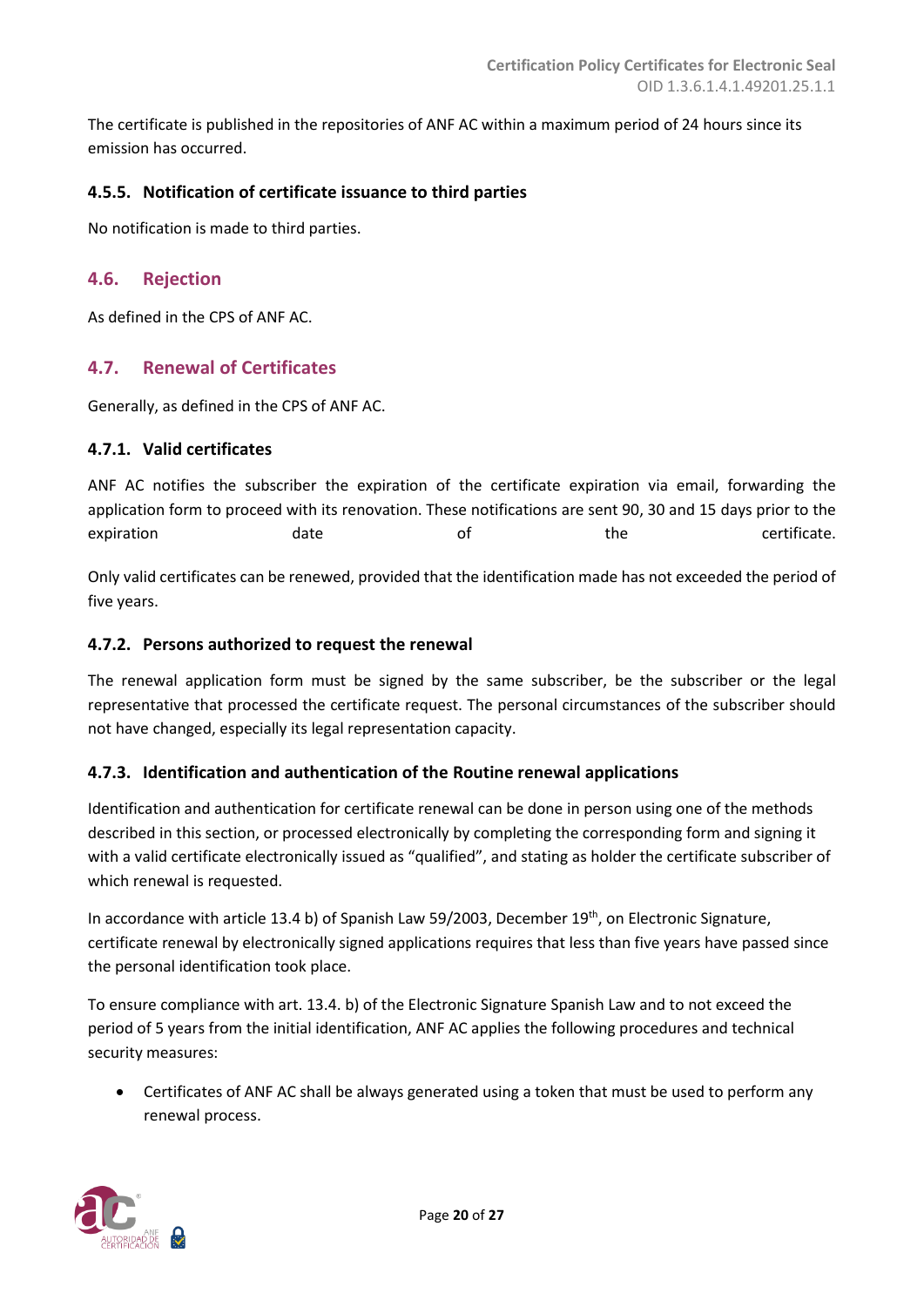The certificate is published in the repositories of ANF AC within a maximum period of 24 hours since its emission has occurred.

#### <span id="page-19-0"></span>**4.5.5. Notification of certificate issuance to third parties**

No notification is made to third parties.

#### <span id="page-19-1"></span>**4.6. Rejection**

As defined in the CPS of ANF AC.

#### <span id="page-19-2"></span>**4.7. Renewal of Certificates**

Generally, as defined in the CPS of ANF AC.

#### <span id="page-19-3"></span>**4.7.1. Valid certificates**

ANF AC notifies the subscriber the expiration of the certificate expiration via email, forwarding the application form to proceed with its renovation. These notifications are sent 90, 30 and 15 days prior to the expiration and the certificate.

Only valid certificates can be renewed, provided that the identification made has not exceeded the period of five years.

#### <span id="page-19-4"></span>**4.7.2. Persons authorized to request the renewal**

The renewal application form must be signed by the same subscriber, be the subscriber or the legal representative that processed the certificate request. The personal circumstances of the subscriber should not have changed, especially its legal representation capacity.

#### <span id="page-19-5"></span>**4.7.3. Identification and authentication of the Routine renewal applications**

Identification and authentication for certificate renewal can be done in person using one of the methods described in this section, or processed electronically by completing the corresponding form and signing it with a valid certificate electronically issued as "qualified", and stating as holder the certificate subscriber of which renewal is requested.

In accordance with article 13.4 b) of Spanish Law 59/2003, December 19th, on Electronic Signature, certificate renewal by electronically signed applications requires that less than five years have passed since the personal identification took place.

To ensure compliance with art. 13.4. b) of the Electronic Signature Spanish Law and to not exceed the period of 5 years from the initial identification, ANF AC applies the following procedures and technical security measures:

• Certificates of ANF AC shall be always generated using a token that must be used to perform any renewal process.

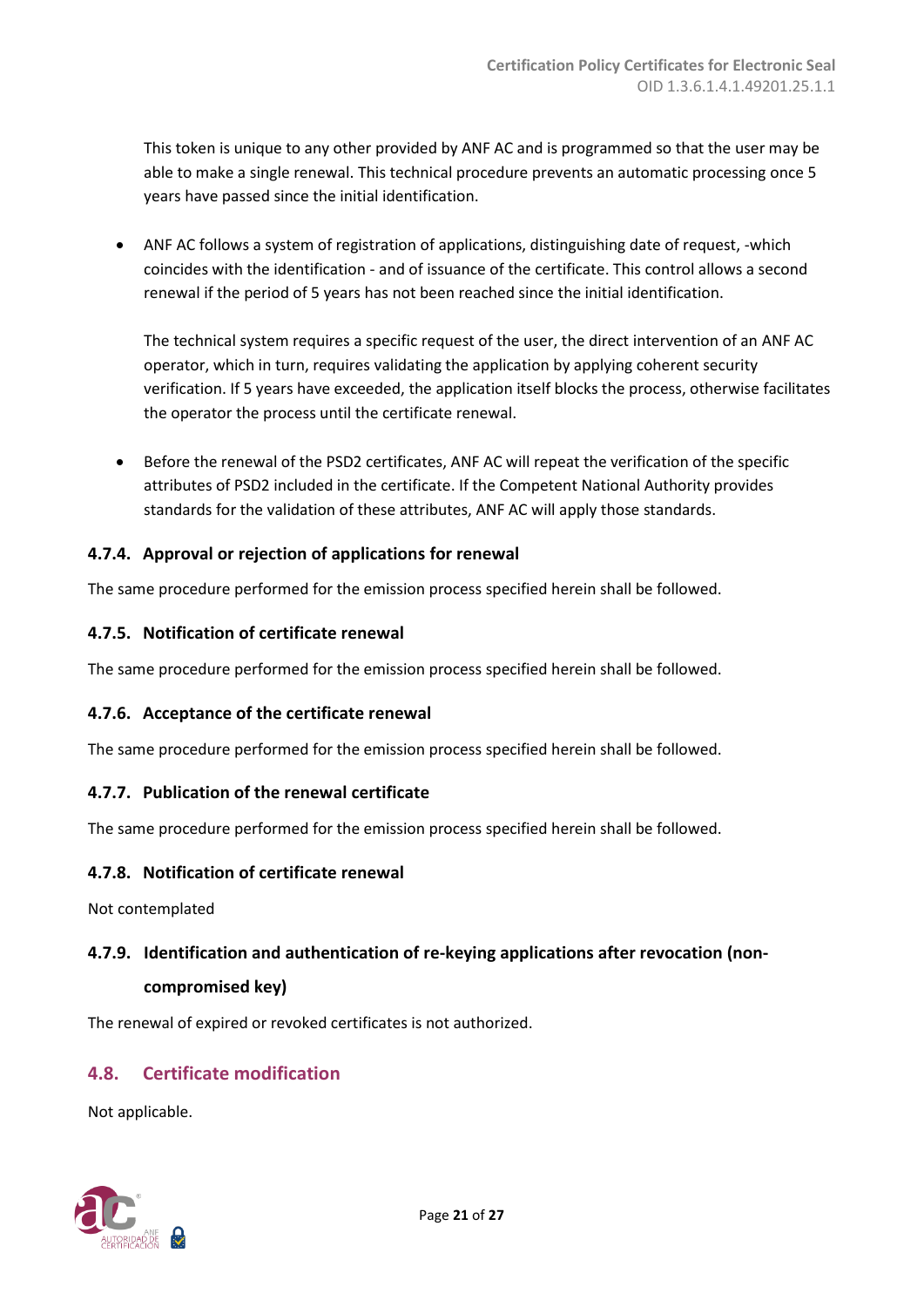This token is unique to any other provided by ANF AC and is programmed so that the user may be able to make a single renewal. This technical procedure prevents an automatic processing once 5 years have passed since the initial identification.

• ANF AC follows a system of registration of applications, distinguishing date of request, -which coincides with the identification - and of issuance of the certificate. This control allows a second renewal if the period of 5 years has not been reached since the initial identification.

The technical system requires a specific request of the user, the direct intervention of an ANF AC operator, which in turn, requires validating the application by applying coherent security verification. If 5 years have exceeded, the application itself blocks the process, otherwise facilitates the operator the process until the certificate renewal.

• Before the renewal of the PSD2 certificates, ANF AC will repeat the verification of the specific attributes of PSD2 included in the certificate. If the Competent National Authority provides standards for the validation of these attributes, ANF AC will apply those standards.

# <span id="page-20-0"></span>**4.7.4. Approval or rejection of applications for renewal**

The same procedure performed for the emission process specified herein shall be followed.

# <span id="page-20-1"></span>**4.7.5. Notification of certificate renewal**

The same procedure performed for the emission process specified herein shall be followed.

# <span id="page-20-2"></span>**4.7.6. Acceptance of the certificate renewal**

The same procedure performed for the emission process specified herein shall be followed.

#### <span id="page-20-3"></span>**4.7.7. Publication of the renewal certificate**

The same procedure performed for the emission process specified herein shall be followed.

#### <span id="page-20-4"></span>**4.7.8. Notification of certificate renewal**

Not contemplated

# <span id="page-20-5"></span>**4.7.9. Identification and authentication of re-keying applications after revocation (non-**

#### **compromised key)**

The renewal of expired or revoked certificates is not authorized.

# <span id="page-20-6"></span>**4.8. Certificate modification**

Not applicable.

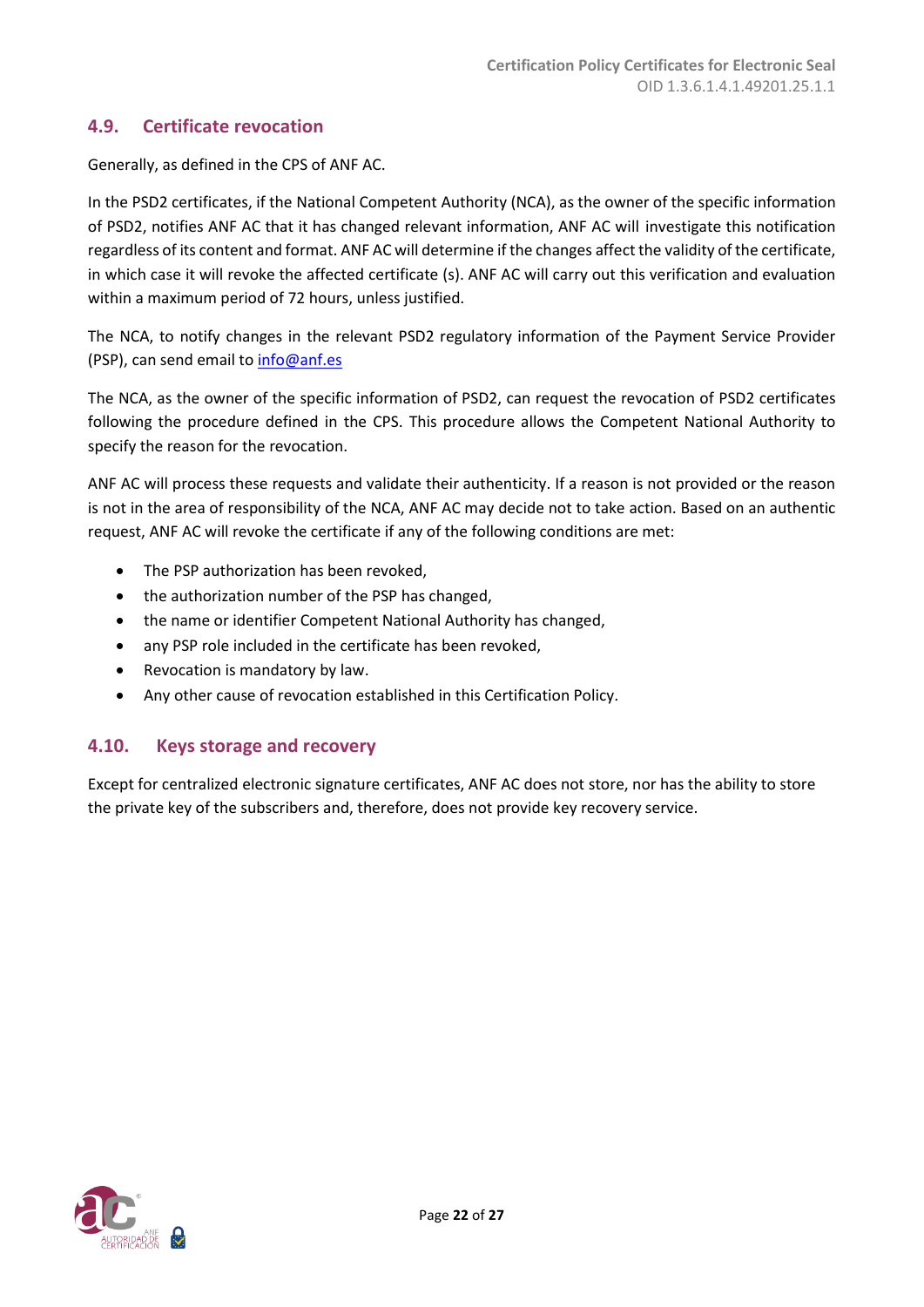# <span id="page-21-0"></span>**4.9. Certificate revocation**

Generally, as defined in the CPS of ANF AC.

In the PSD2 certificates, if the National Competent Authority (NCA), as the owner of the specific information of PSD2, notifies ANF AC that it has changed relevant information, ANF AC will investigate this notification regardless of its content and format. ANF AC will determine if the changes affect the validity of the certificate, in which case it will revoke the affected certificate (s). ANF AC will carry out this verification and evaluation within a maximum period of 72 hours, unless justified.

The NCA, to notify changes in the relevant PSD2 regulatory information of the Payment Service Provider (PSP), can send email to [info@anf.es](mailto:info@anf.es)

The NCA, as the owner of the specific information of PSD2, can request the revocation of PSD2 certificates following the procedure defined in the CPS. This procedure allows the Competent National Authority to specify the reason for the revocation.

ANF AC will process these requests and validate their authenticity. If a reason is not provided or the reason is not in the area of responsibility of the NCA, ANF AC may decide not to take action. Based on an authentic request, ANF AC will revoke the certificate if any of the following conditions are met:

- The PSP authorization has been revoked,
- the authorization number of the PSP has changed,
- the name or identifier Competent National Authority has changed,
- any PSP role included in the certificate has been revoked,
- Revocation is mandatory by law.
- <span id="page-21-1"></span>• Any other cause of revocation established in this Certification Policy.

# **4.10. Keys storage and recovery**

Except for centralized electronic signature certificates, ANF AC does not store, nor has the ability to store the private key of the subscribers and, therefore, does not provide key recovery service.

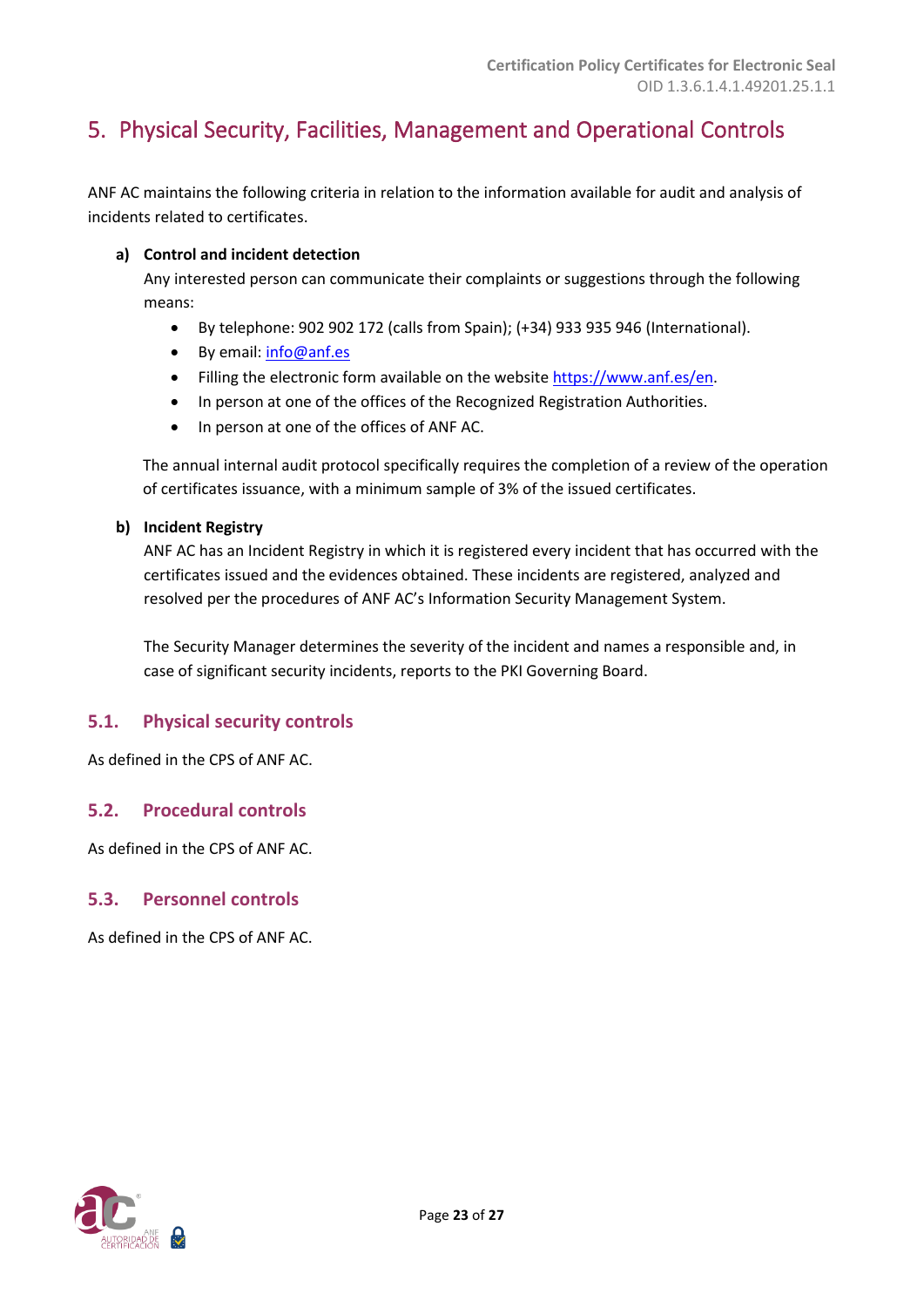# <span id="page-22-0"></span>5. Physical Security, Facilities, Management and Operational Controls

ANF AC maintains the following criteria in relation to the information available for audit and analysis of incidents related to certificates.

#### **a) Control and incident detection**

Any interested person can communicate their complaints or suggestions through the following means:

- By telephone: 902 902 172 (calls from Spain); (+34) 933 935 946 (International).
- By email: [info@anf.es](mailto:info@anf.es)
- Filling the electronic form available on the website [https://www.anf.es/en.](https://www.anf.es/en)
- In person at one of the offices of the Recognized Registration Authorities.
- In person at one of the offices of ANF AC.

The annual internal audit protocol specifically requires the completion of a review of the operation of certificates issuance, with a minimum sample of 3% of the issued certificates.

#### **b) Incident Registry**

ANF AC has an Incident Registry in which it is registered every incident that has occurred with the certificates issued and the evidences obtained. These incidents are registered, analyzed and resolved per the procedures of ANF AC's Information Security Management System.

The Security Manager determines the severity of the incident and names a responsible and, in case of significant security incidents, reports to the PKI Governing Board.

# <span id="page-22-1"></span>**5.1. Physical security controls**

As defined in the CPS of ANF AC.

# <span id="page-22-2"></span>**5.2. Procedural controls**

As defined in the CPS of ANF AC.

# <span id="page-22-3"></span>**5.3. Personnel controls**

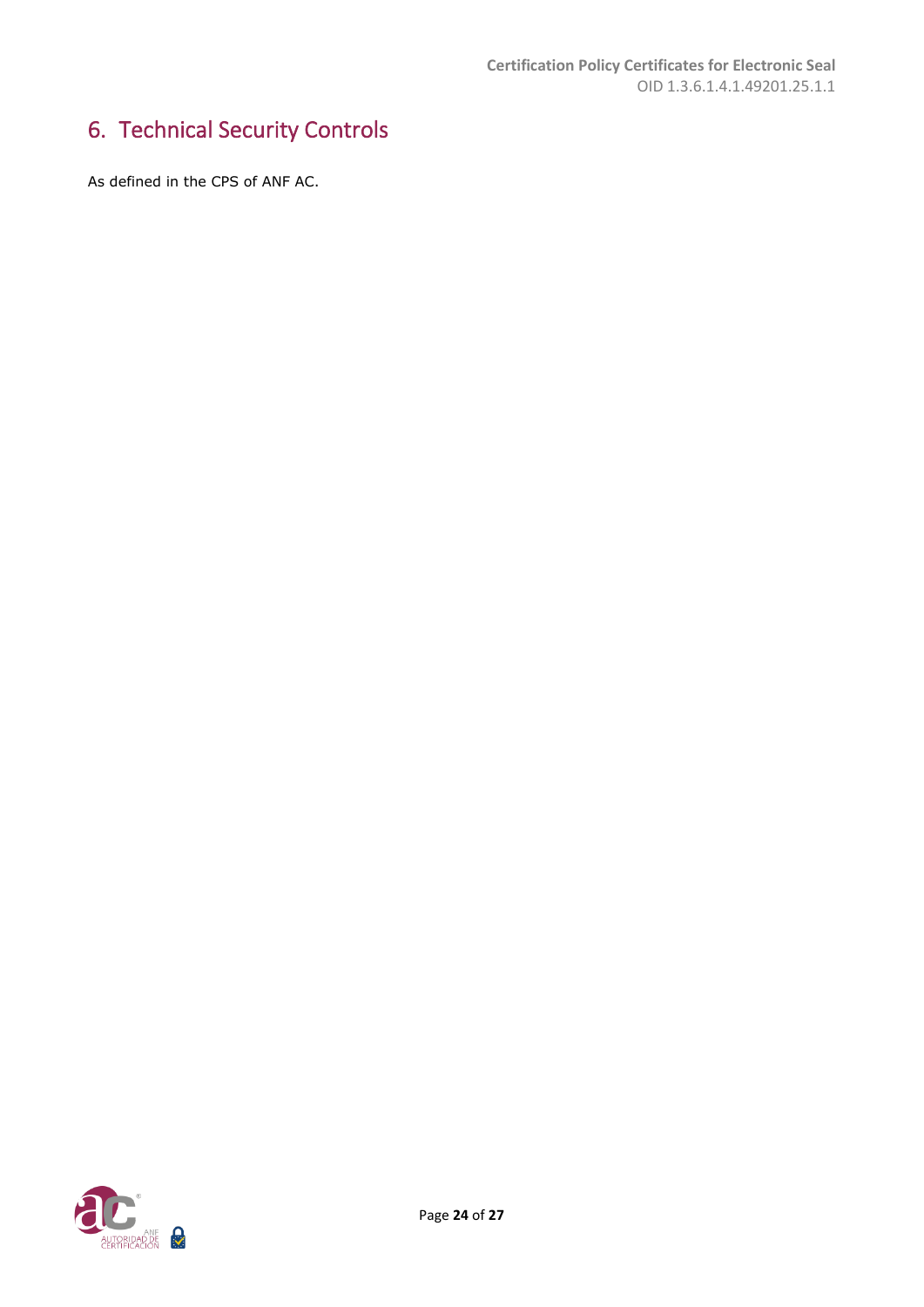# <span id="page-23-0"></span>6. Technical Security Controls

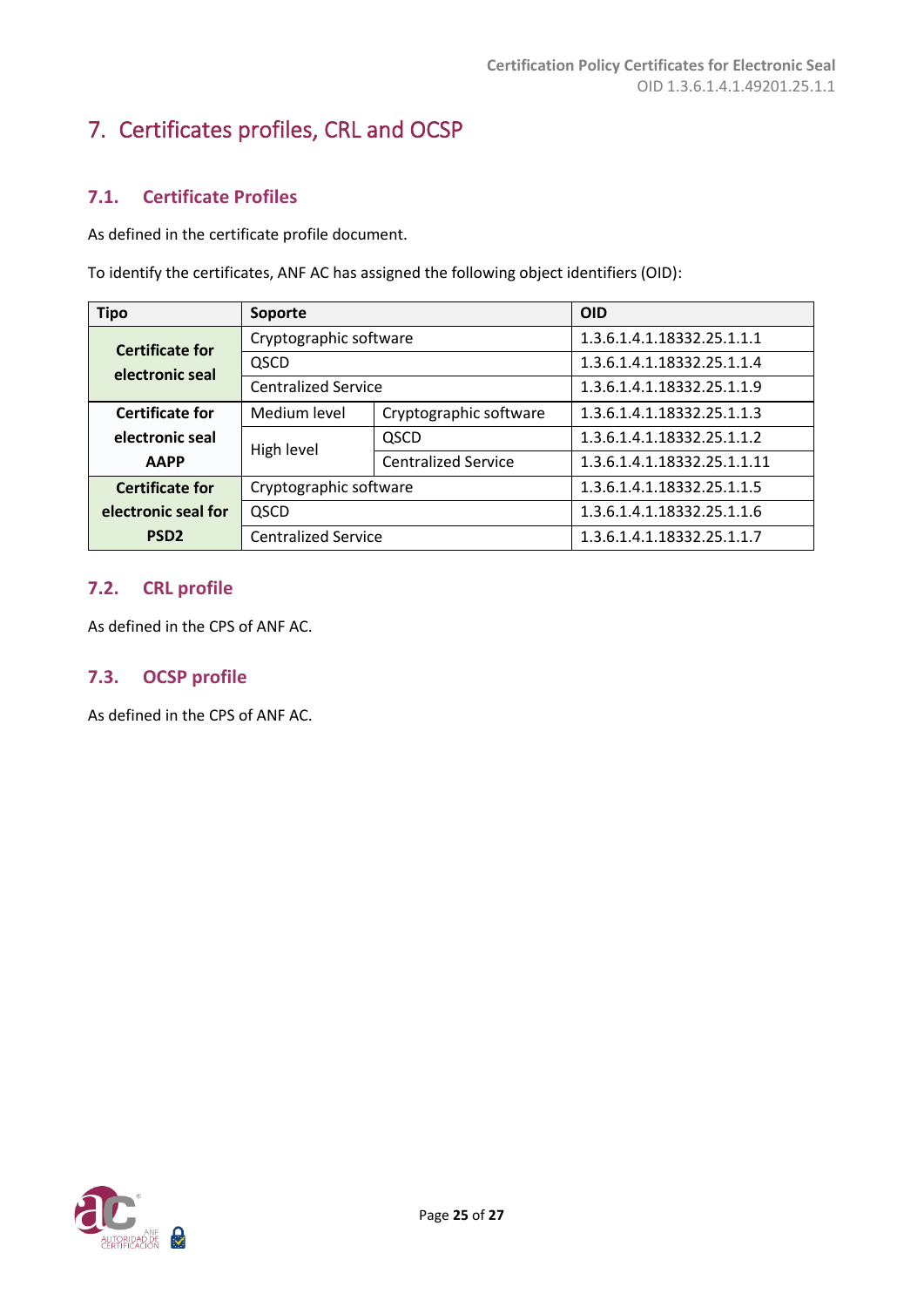# <span id="page-24-0"></span>7. Certificates profiles, CRL and OCSP

# <span id="page-24-1"></span>**7.1. Certificate Profiles**

As defined in the certificate profile document.

To identify the certificates, ANF AC has assigned the following object identifiers (OID):

| <b>Tipo</b>                                      | Soporte                    |                            | <b>OID</b>                  |
|--------------------------------------------------|----------------------------|----------------------------|-----------------------------|
| <b>Certificate for</b>                           | Cryptographic software     |                            | 1.3.6.1.4.1.18332.25.1.1.1  |
| electronic seal                                  | QSCD                       |                            | 1.3.6.1.4.1.18332.25.1.1.4  |
|                                                  | <b>Centralized Service</b> |                            | 1.3.6.1.4.1.18332.25.1.1.9  |
| <b>Certificate for</b>                           | Medium level               | Cryptographic software     | 1.3.6.1.4.1.18332.25.1.1.3  |
| electronic seal                                  | High level                 | QSCD                       | 1.3.6.1.4.1.18332.25.1.1.2  |
| <b>AAPP</b>                                      |                            | <b>Centralized Service</b> | 1.3.6.1.4.1.18332.25.1.1.11 |
| Cryptographic software<br><b>Certificate for</b> |                            | 1.3.6.1.4.1.18332.25.1.1.5 |                             |
| electronic seal for                              | QSCD                       |                            | 1.3.6.1.4.1.18332.25.1.1.6  |
| PSD <sub>2</sub>                                 | <b>Centralized Service</b> |                            | 1.3.6.1.4.1.18332.25.1.1.7  |

#### <span id="page-24-2"></span>**7.2. CRL profile**

As defined in the CPS of ANF AC.

# <span id="page-24-3"></span>**7.3. OCSP profile**

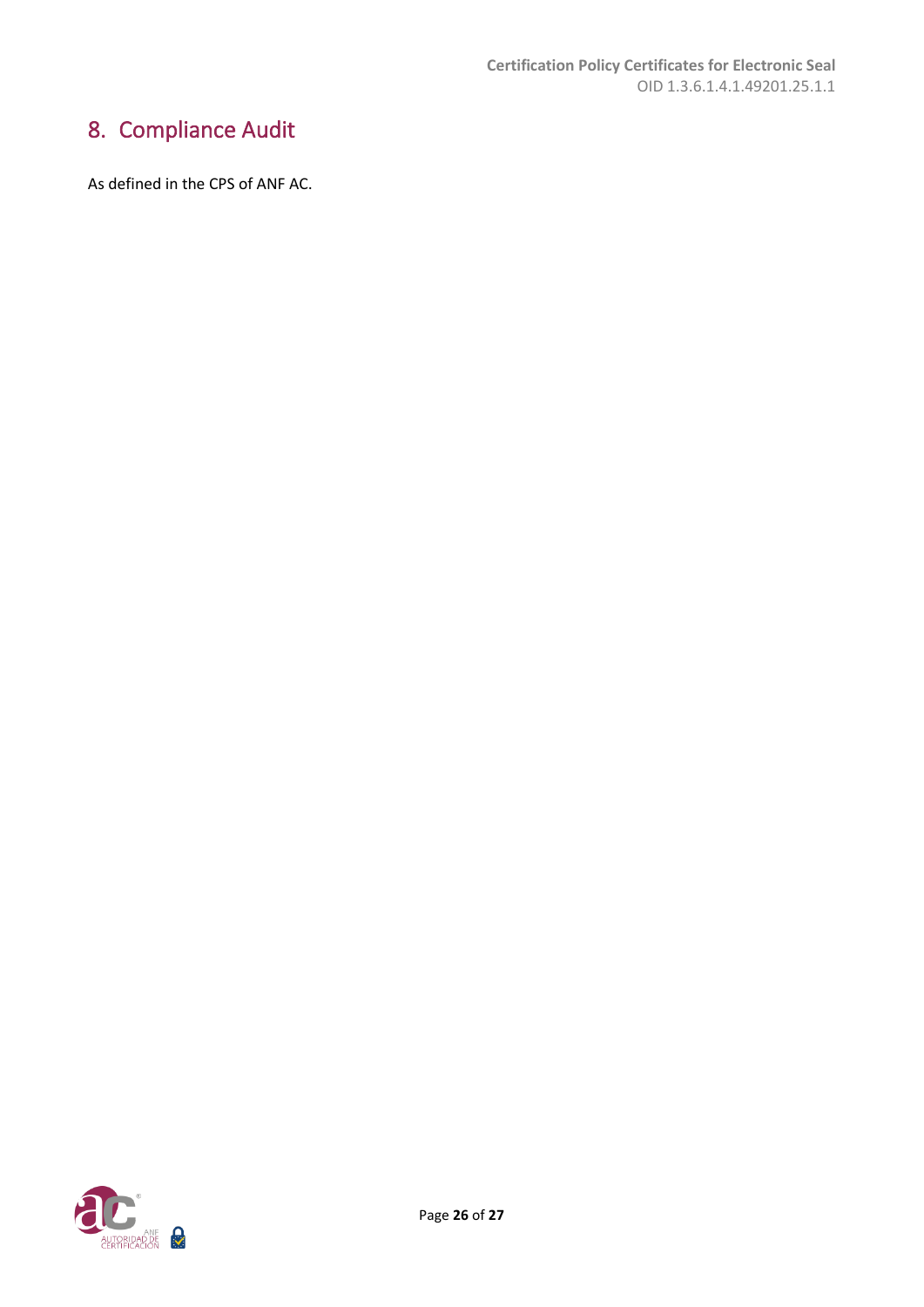# <span id="page-25-0"></span>8. Compliance Audit